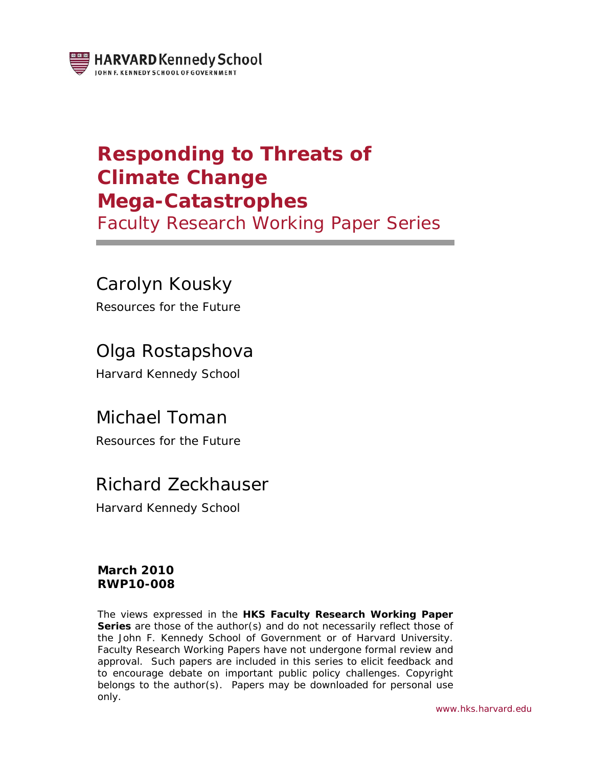

# **Responding to Threats of Climate Change Mega-Catastrophes**

Faculty Research Working Paper Series

# Carolyn Kousky

Resources for the Future

# Olga Rostapshova

Harvard Kennedy School

# Michael Toman

Resources for the Future

# Richard Zeckhauser

Harvard Kennedy School

### **March 2010 RWP10-008**

The views expressed in the **HKS Faculty Research Working Paper Series** are those of the author(s) and do not necessarily reflect those of the John F. Kennedy School of Government or of Harvard University. Faculty Research Working Papers have not undergone formal review and approval. Such papers are included in this series to elicit feedback and to encourage debate on important public policy challenges. Copyright belongs to the author(s). Papers may be downloaded for personal use only.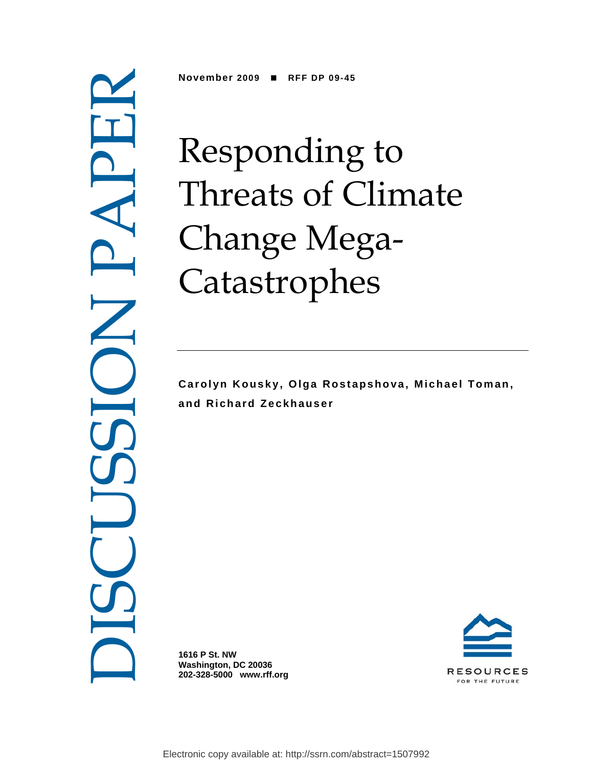DISCUSSION PAPER

**November 2009 RFF DP 09-45** 

# Responding to Threats of Climate Change Mega-Catastrophes

**Carolyn Kousky, Olga Rostapshova, Michael Toman, and Richard Zeckhauser** 

**1616 P St. NW Washington, DC 20036 202-328-5000 www.rff.org** 

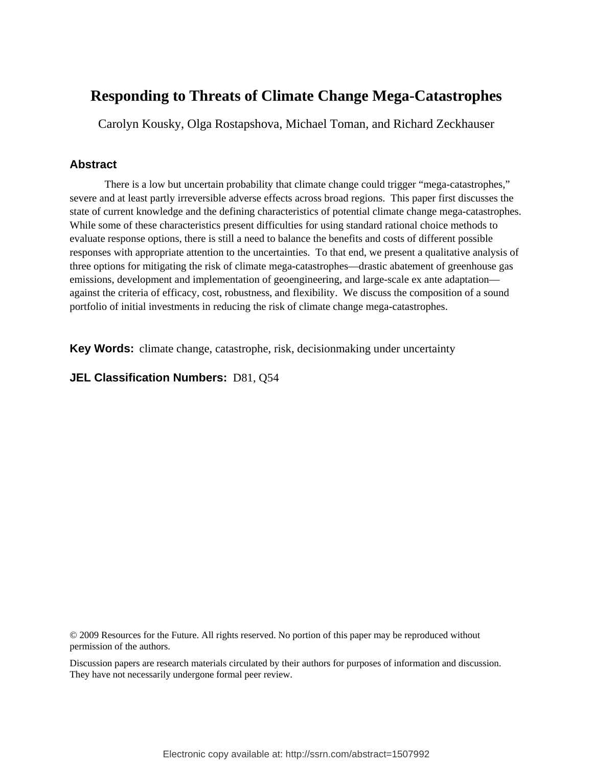# **Responding to Threats of Climate Change Mega-Catastrophes**

Carolyn Kousky, Olga Rostapshova, Michael Toman, and Richard Zeckhauser

### **Abstract**

There is a low but uncertain probability that climate change could trigger "mega-catastrophes," severe and at least partly irreversible adverse effects across broad regions. This paper first discusses the state of current knowledge and the defining characteristics of potential climate change mega-catastrophes. While some of these characteristics present difficulties for using standard rational choice methods to evaluate response options, there is still a need to balance the benefits and costs of different possible responses with appropriate attention to the uncertainties. To that end, we present a qualitative analysis of three options for mitigating the risk of climate mega-catastrophes—drastic abatement of greenhouse gas emissions, development and implementation of geoengineering, and large-scale ex ante adaptation against the criteria of efficacy, cost, robustness, and flexibility. We discuss the composition of a sound portfolio of initial investments in reducing the risk of climate change mega-catastrophes.

**Key Words:** climate change, catastrophe, risk, decisionmaking under uncertainty

### **JEL Classification Numbers:** D81, Q54

© 2009 Resources for the Future. All rights reserved. No portion of this paper may be reproduced without permission of the authors.

Discussion papers are research materials circulated by their authors for purposes of information and discussion. They have not necessarily undergone formal peer review.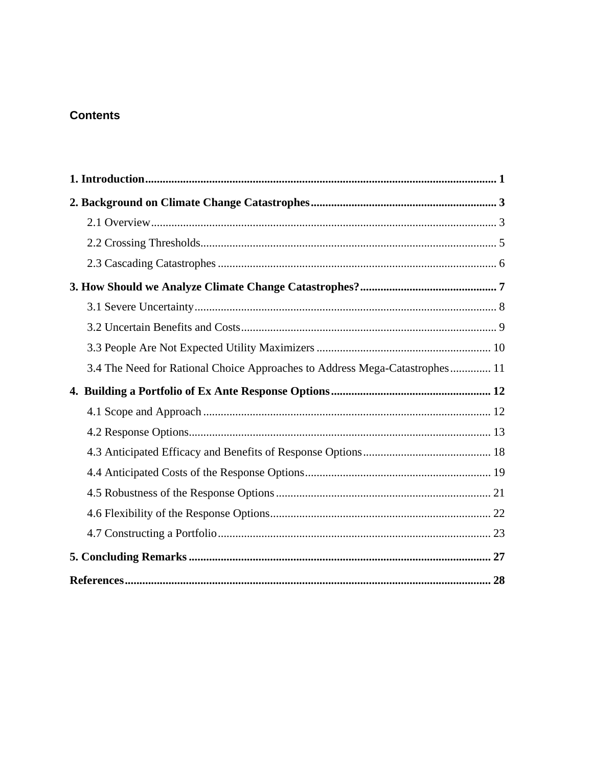## **Contents**

| 3.4 The Need for Rational Choice Approaches to Address Mega-Catastrophes 11 |  |
|-----------------------------------------------------------------------------|--|
|                                                                             |  |
|                                                                             |  |
|                                                                             |  |
|                                                                             |  |
|                                                                             |  |
|                                                                             |  |
|                                                                             |  |
|                                                                             |  |
|                                                                             |  |
|                                                                             |  |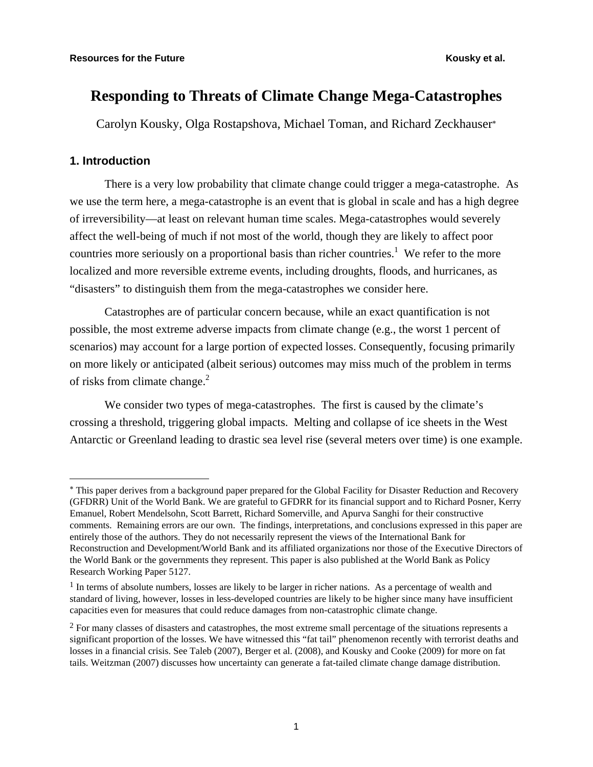# **Responding to Threats of Climate Change Mega-Catastrophes**

Carolyn Kousky, Olga Rostapshova, Michael Toman, and Richard Zeckhauser<sup>∗</sup>

### **1. Introduction**

1

There is a very low probability that climate change could trigger a mega-catastrophe. As we use the term here, a mega-catastrophe is an event that is global in scale and has a high degree of irreversibility—at least on relevant human time scales. Mega-catastrophes would severely affect the well-being of much if not most of the world, though they are likely to affect poor countries more seriously on a proportional basis than richer countries.<sup>1</sup> We refer to the more localized and more reversible extreme events, including droughts, floods, and hurricanes, as "disasters" to distinguish them from the mega-catastrophes we consider here.

Catastrophes are of particular concern because, while an exact quantification is not possible, the most extreme adverse impacts from climate change (e.g., the worst 1 percent of scenarios) may account for a large portion of expected losses. Consequently, focusing primarily on more likely or anticipated (albeit serious) outcomes may miss much of the problem in terms of risks from climate change. $2$ 

We consider two types of mega-catastrophes. The first is caused by the climate's crossing a threshold, triggering global impacts. Melting and collapse of ice sheets in the West Antarctic or Greenland leading to drastic sea level rise (several meters over time) is one example.

<sup>∗</sup> This paper derives from a background paper prepared for the Global Facility for Disaster Reduction and Recovery (GFDRR) Unit of the World Bank. We are grateful to GFDRR for its financial support and to Richard Posner, Kerry Emanuel, Robert Mendelsohn, Scott Barrett, Richard Somerville, and Apurva Sanghi for their constructive comments. Remaining errors are our own. The findings, interpretations, and conclusions expressed in this paper are entirely those of the authors. They do not necessarily represent the views of the International Bank for Reconstruction and Development/World Bank and its affiliated organizations nor those of the Executive Directors of the World Bank or the governments they represent. This paper is also published at the World Bank as Policy Research Working Paper 5127.

 $<sup>1</sup>$  In terms of absolute numbers, losses are likely to be larger in richer nations. As a percentage of wealth and</sup> standard of living, however, losses in less-developed countries are likely to be higher since many have insufficient capacities even for measures that could reduce damages from non-catastrophic climate change.

<sup>&</sup>lt;sup>2</sup> For many classes of disasters and catastrophes, the most extreme small percentage of the situations represents a significant proportion of the losses. We have witnessed this "fat tail" phenomenon recently with terrorist deaths and losses in a financial crisis. See Taleb (2007), Berger et al. (2008), and Kousky and Cooke (2009) for more on fat tails. Weitzman (2007) discusses how uncertainty can generate a fat-tailed climate change damage distribution.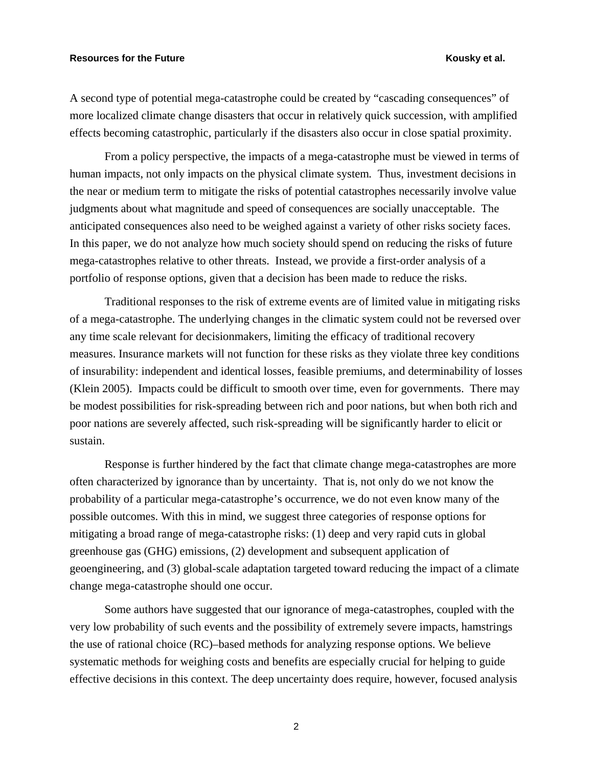A second type of potential mega-catastrophe could be created by "cascading consequences" of more localized climate change disasters that occur in relatively quick succession, with amplified effects becoming catastrophic, particularly if the disasters also occur in close spatial proximity.

From a policy perspective, the impacts of a mega-catastrophe must be viewed in terms of human impacts, not only impacts on the physical climate system*.* Thus, investment decisions in the near or medium term to mitigate the risks of potential catastrophes necessarily involve value judgments about what magnitude and speed of consequences are socially unacceptable. The anticipated consequences also need to be weighed against a variety of other risks society faces. In this paper, we do not analyze how much society should spend on reducing the risks of future mega-catastrophes relative to other threats. Instead, we provide a first-order analysis of a portfolio of response options, given that a decision has been made to reduce the risks.

Traditional responses to the risk of extreme events are of limited value in mitigating risks of a mega-catastrophe. The underlying changes in the climatic system could not be reversed over any time scale relevant for decisionmakers, limiting the efficacy of traditional recovery measures. Insurance markets will not function for these risks as they violate three key conditions of insurability: independent and identical losses, feasible premiums, and determinability of losses (Klein 2005). Impacts could be difficult to smooth over time, even for governments. There may be modest possibilities for risk-spreading between rich and poor nations, but when both rich and poor nations are severely affected, such risk-spreading will be significantly harder to elicit or sustain.

Response is further hindered by the fact that climate change mega-catastrophes are more often characterized by ignorance than by uncertainty. That is, not only do we not know the probability of a particular mega-catastrophe's occurrence, we do not even know many of the possible outcomes. With this in mind, we suggest three categories of response options for mitigating a broad range of mega-catastrophe risks: (1) deep and very rapid cuts in global greenhouse gas (GHG) emissions, (2) development and subsequent application of geoengineering, and (3) global-scale adaptation targeted toward reducing the impact of a climate change mega-catastrophe should one occur.

Some authors have suggested that our ignorance of mega-catastrophes, coupled with the very low probability of such events and the possibility of extremely severe impacts, hamstrings the use of rational choice (RC)–based methods for analyzing response options. We believe systematic methods for weighing costs and benefits are especially crucial for helping to guide effective decisions in this context. The deep uncertainty does require, however, focused analysis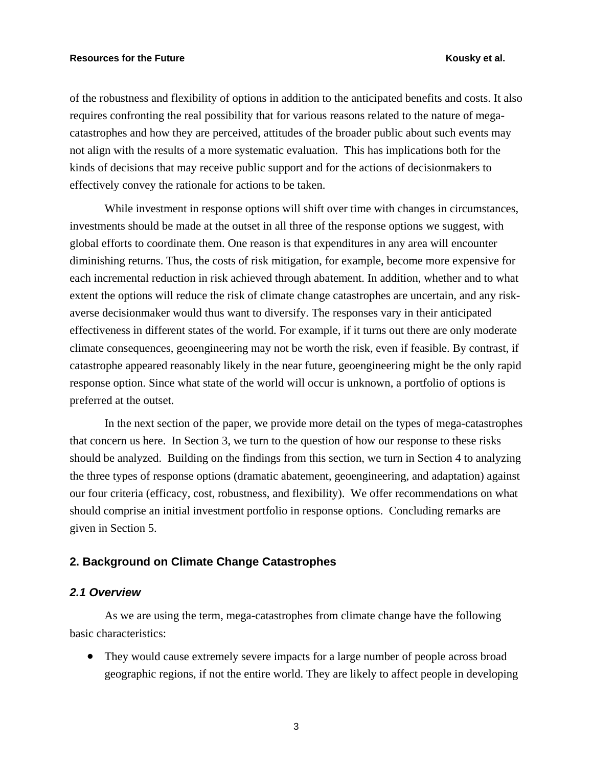of the robustness and flexibility of options in addition to the anticipated benefits and costs. It also requires confronting the real possibility that for various reasons related to the nature of megacatastrophes and how they are perceived, attitudes of the broader public about such events may not align with the results of a more systematic evaluation. This has implications both for the kinds of decisions that may receive public support and for the actions of decisionmakers to effectively convey the rationale for actions to be taken.

While investment in response options will shift over time with changes in circumstances, investments should be made at the outset in all three of the response options we suggest, with global efforts to coordinate them. One reason is that expenditures in any area will encounter diminishing returns. Thus, the costs of risk mitigation, for example, become more expensive for each incremental reduction in risk achieved through abatement. In addition, whether and to what extent the options will reduce the risk of climate change catastrophes are uncertain, and any riskaverse decisionmaker would thus want to diversify. The responses vary in their anticipated effectiveness in different states of the world. For example, if it turns out there are only moderate climate consequences, geoengineering may not be worth the risk, even if feasible. By contrast, if catastrophe appeared reasonably likely in the near future, geoengineering might be the only rapid response option. Since what state of the world will occur is unknown, a portfolio of options is preferred at the outset.

In the next section of the paper, we provide more detail on the types of mega-catastrophes that concern us here. In Section 3, we turn to the question of how our response to these risks should be analyzed. Building on the findings from this section, we turn in Section 4 to analyzing the three types of response options (dramatic abatement, geoengineering, and adaptation) against our four criteria (efficacy, cost, robustness, and flexibility). We offer recommendations on what should comprise an initial investment portfolio in response options. Concluding remarks are given in Section 5.

### **2. Background on Climate Change Catastrophes**

#### *2.1 Overview*

As we are using the term, mega-catastrophes from climate change have the following basic characteristics:

• They would cause extremely severe impacts for a large number of people across broad geographic regions, if not the entire world. They are likely to affect people in developing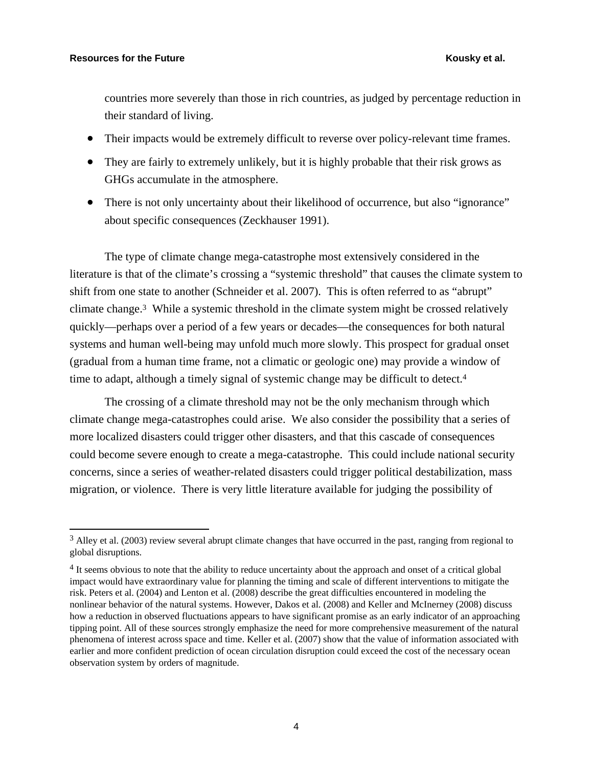$\overline{a}$ 

countries more severely than those in rich countries, as judged by percentage reduction in their standard of living.

- Their impacts would be extremely difficult to reverse over policy-relevant time frames.
- They are fairly to extremely unlikely, but it is highly probable that their risk grows as GHGs accumulate in the atmosphere.
- There is not only uncertainty about their likelihood of occurrence, but also "ignorance" about specific consequences (Zeckhauser 1991).

The type of climate change mega-catastrophe most extensively considered in the literature is that of the climate's crossing a "systemic threshold" that causes the climate system to shift from one state to another (Schneider et al. 2007). This is often referred to as "abrupt" climate change.3 While a systemic threshold in the climate system might be crossed relatively quickly—perhaps over a period of a few years or decades—the consequences for both natural systems and human well-being may unfold much more slowly. This prospect for gradual onset (gradual from a human time frame, not a climatic or geologic one) may provide a window of time to adapt, although a timely signal of systemic change may be difficult to detect.4

The crossing of a climate threshold may not be the only mechanism through which climate change mega-catastrophes could arise. We also consider the possibility that a series of more localized disasters could trigger other disasters, and that this cascade of consequences could become severe enough to create a mega-catastrophe. This could include national security concerns, since a series of weather-related disasters could trigger political destabilization, mass migration, or violence. There is very little literature available for judging the possibility of

 $3$  Alley et al. (2003) review several abrupt climate changes that have occurred in the past, ranging from regional to global disruptions.

<sup>4</sup> It seems obvious to note that the ability to reduce uncertainty about the approach and onset of a critical global impact would have extraordinary value for planning the timing and scale of different interventions to mitigate the risk. Peters et al. (2004) and Lenton et al. (2008) describe the great difficulties encountered in modeling the nonlinear behavior of the natural systems. However, Dakos et al. (2008) and Keller and McInerney (2008) discuss how a reduction in observed fluctuations appears to have significant promise as an early indicator of an approaching tipping point. All of these sources strongly emphasize the need for more comprehensive measurement of the natural phenomena of interest across space and time. Keller et al. (2007) show that the value of information associated with earlier and more confident prediction of ocean circulation disruption could exceed the cost of the necessary ocean observation system by orders of magnitude.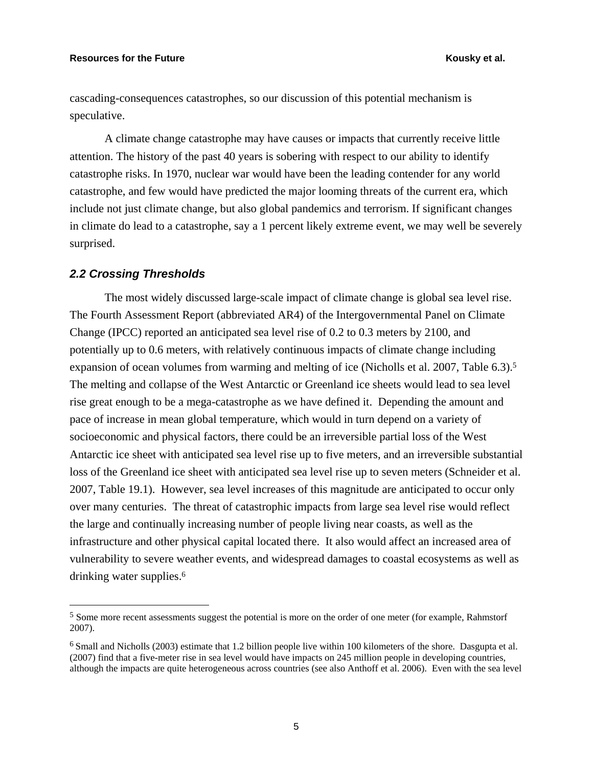cascading-consequences catastrophes, so our discussion of this potential mechanism is speculative.

A climate change catastrophe may have causes or impacts that currently receive little attention. The history of the past 40 years is sobering with respect to our ability to identify catastrophe risks. In 1970, nuclear war would have been the leading contender for any world catastrophe, and few would have predicted the major looming threats of the current era, which include not just climate change, but also global pandemics and terrorism. If significant changes in climate do lead to a catastrophe, say a 1 percent likely extreme event, we may well be severely surprised.

#### *2.2 Crossing Thresholds*

 $\overline{a}$ 

The most widely discussed large-scale impact of climate change is global sea level rise. The Fourth Assessment Report (abbreviated AR4) of the Intergovernmental Panel on Climate Change (IPCC) reported an anticipated sea level rise of 0.2 to 0.3 meters by 2100, and potentially up to 0.6 meters, with relatively continuous impacts of climate change including expansion of ocean volumes from warming and melting of ice (Nicholls et al. 2007, Table 6.3).<sup>5</sup> The melting and collapse of the West Antarctic or Greenland ice sheets would lead to sea level rise great enough to be a mega-catastrophe as we have defined it. Depending the amount and pace of increase in mean global temperature, which would in turn depend on a variety of socioeconomic and physical factors, there could be an irreversible partial loss of the West Antarctic ice sheet with anticipated sea level rise up to five meters, and an irreversible substantial loss of the Greenland ice sheet with anticipated sea level rise up to seven meters (Schneider et al. 2007, Table 19.1). However, sea level increases of this magnitude are anticipated to occur only over many centuries. The threat of catastrophic impacts from large sea level rise would reflect the large and continually increasing number of people living near coasts, as well as the infrastructure and other physical capital located there. It also would affect an increased area of vulnerability to severe weather events, and widespread damages to coastal ecosystems as well as drinking water supplies.<sup>6</sup>

<sup>5</sup> Some more recent assessments suggest the potential is more on the order of one meter (for example, Rahmstorf 2007).

<sup>6</sup> Small and Nicholls (2003) estimate that 1.2 billion people live within 100 kilometers of the shore. Dasgupta et al. (2007) find that a five-meter rise in sea level would have impacts on 245 million people in developing countries, although the impacts are quite heterogeneous across countries (see also Anthoff et al. 2006). Even with the sea level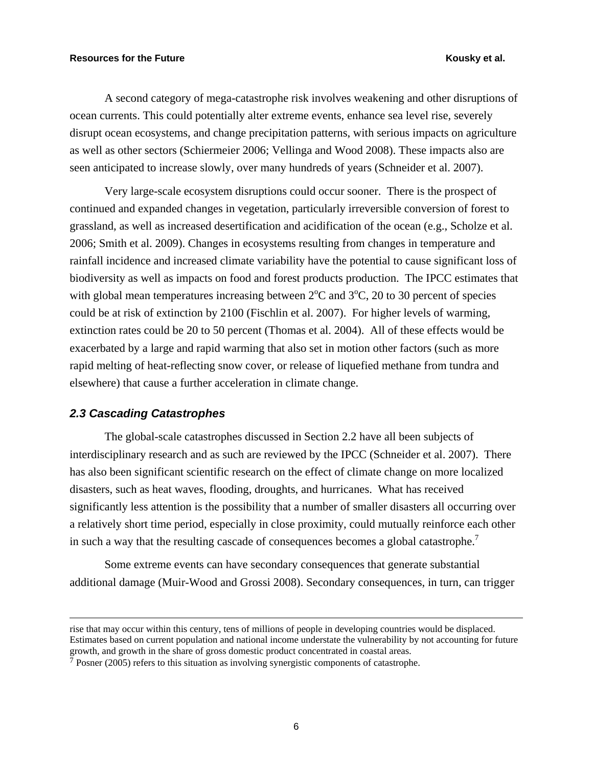A second category of mega-catastrophe risk involves weakening and other disruptions of ocean currents. This could potentially alter extreme events, enhance sea level rise, severely disrupt ocean ecosystems, and change precipitation patterns, with serious impacts on agriculture as well as other sectors (Schiermeier 2006; Vellinga and Wood 2008). These impacts also are seen anticipated to increase slowly, over many hundreds of years (Schneider et al. 2007).

Very large-scale ecosystem disruptions could occur sooner. There is the prospect of continued and expanded changes in vegetation, particularly irreversible conversion of forest to grassland, as well as increased desertification and acidification of the ocean (e.g., Scholze et al. 2006; Smith et al. 2009). Changes in ecosystems resulting from changes in temperature and rainfall incidence and increased climate variability have the potential to cause significant loss of biodiversity as well as impacts on food and forest products production. The IPCC estimates that with global mean temperatures increasing between  $2^{\circ}$ C and  $3^{\circ}$ C, 20 to 30 percent of species could be at risk of extinction by 2100 (Fischlin et al. 2007). For higher levels of warming, extinction rates could be 20 to 50 percent (Thomas et al. 2004). All of these effects would be exacerbated by a large and rapid warming that also set in motion other factors (such as more rapid melting of heat-reflecting snow cover, or release of liquefied methane from tundra and elsewhere) that cause a further acceleration in climate change.

#### *2.3 Cascading Catastrophes*

The global-scale catastrophes discussed in Section 2.2 have all been subjects of interdisciplinary research and as such are reviewed by the IPCC (Schneider et al. 2007). There has also been significant scientific research on the effect of climate change on more localized disasters, such as heat waves, flooding, droughts, and hurricanes. What has received significantly less attention is the possibility that a number of smaller disasters all occurring over a relatively short time period, especially in close proximity, could mutually reinforce each other in such a way that the resulting cascade of consequences becomes a global catastrophe.<sup>7</sup>

Some extreme events can have secondary consequences that generate substantial additional damage (Muir-Wood and Grossi 2008). Secondary consequences, in turn, can trigger

rise that may occur within this century, tens of millions of people in developing countries would be displaced. Estimates based on current population and national income understate the vulnerability by not accounting for future growth, and growth in the share of gross domestic product concentrated in coastal areas.

<sup>7</sup> Posner (2005) refers to this situation as involving synergistic components of catastrophe.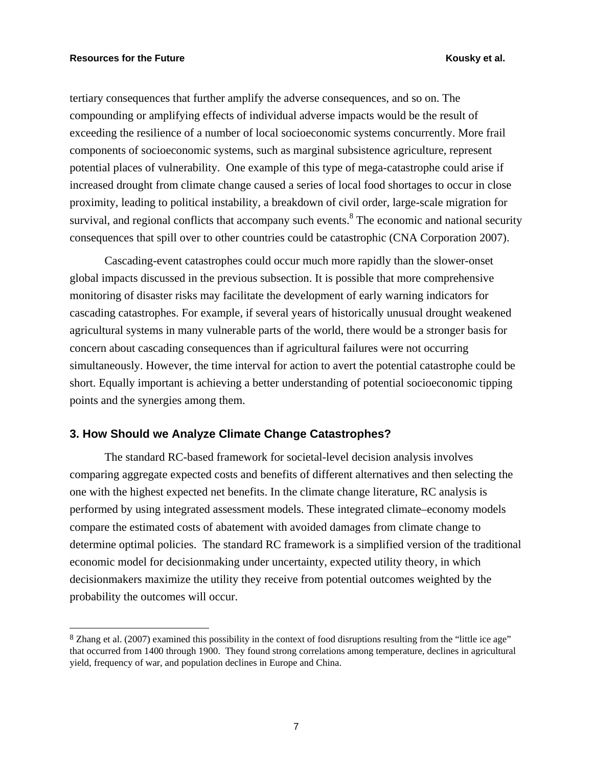$\overline{a}$ 

tertiary consequences that further amplify the adverse consequences, and so on. The compounding or amplifying effects of individual adverse impacts would be the result of exceeding the resilience of a number of local socioeconomic systems concurrently. More frail components of socioeconomic systems, such as marginal subsistence agriculture, represent potential places of vulnerability. One example of this type of mega-catastrophe could arise if increased drought from climate change caused a series of local food shortages to occur in close proximity, leading to political instability, a breakdown of civil order, large-scale migration for survival, and regional conflicts that accompany such events.<sup>8</sup> The economic and national security consequences that spill over to other countries could be catastrophic (CNA Corporation 2007).

Cascading-event catastrophes could occur much more rapidly than the slower-onset global impacts discussed in the previous subsection. It is possible that more comprehensive monitoring of disaster risks may facilitate the development of early warning indicators for cascading catastrophes. For example, if several years of historically unusual drought weakened agricultural systems in many vulnerable parts of the world, there would be a stronger basis for concern about cascading consequences than if agricultural failures were not occurring simultaneously. However, the time interval for action to avert the potential catastrophe could be short. Equally important is achieving a better understanding of potential socioeconomic tipping points and the synergies among them.

### **3. How Should we Analyze Climate Change Catastrophes?**

The standard RC-based framework for societal-level decision analysis involves comparing aggregate expected costs and benefits of different alternatives and then selecting the one with the highest expected net benefits. In the climate change literature, RC analysis is performed by using integrated assessment models. These integrated climate–economy models compare the estimated costs of abatement with avoided damages from climate change to determine optimal policies. The standard RC framework is a simplified version of the traditional economic model for decisionmaking under uncertainty, expected utility theory, in which decisionmakers maximize the utility they receive from potential outcomes weighted by the probability the outcomes will occur.

<sup>8</sup> Zhang et al. (2007) examined this possibility in the context of food disruptions resulting from the "little ice age" that occurred from 1400 through 1900. They found strong correlations among temperature, declines in agricultural yield, frequency of war, and population declines in Europe and China.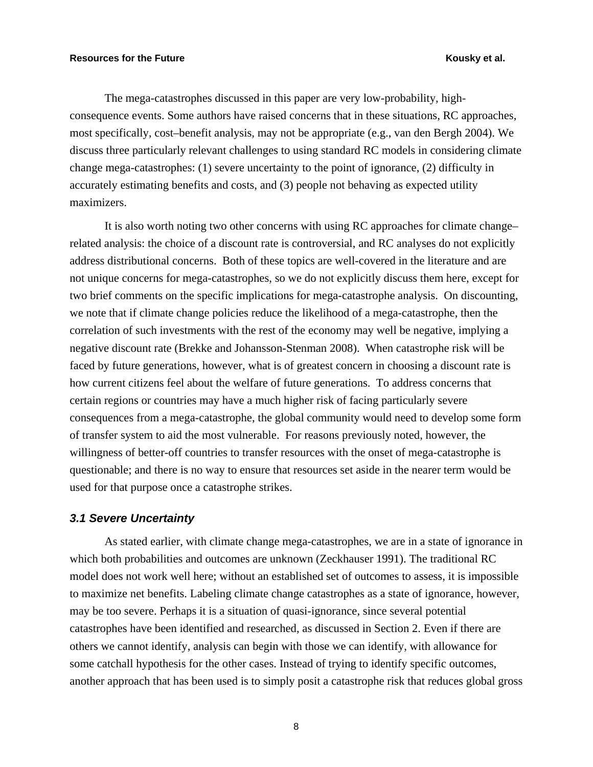The mega-catastrophes discussed in this paper are very low-probability, highconsequence events. Some authors have raised concerns that in these situations, RC approaches, most specifically, cost–benefit analysis, may not be appropriate (e.g., van den Bergh 2004). We discuss three particularly relevant challenges to using standard RC models in considering climate change mega-catastrophes: (1) severe uncertainty to the point of ignorance, (2) difficulty in accurately estimating benefits and costs, and (3) people not behaving as expected utility maximizers.

It is also worth noting two other concerns with using RC approaches for climate change– related analysis: the choice of a discount rate is controversial, and RC analyses do not explicitly address distributional concerns. Both of these topics are well-covered in the literature and are not unique concerns for mega-catastrophes, so we do not explicitly discuss them here, except for two brief comments on the specific implications for mega-catastrophe analysis. On discounting, we note that if climate change policies reduce the likelihood of a mega-catastrophe, then the correlation of such investments with the rest of the economy may well be negative, implying a negative discount rate (Brekke and Johansson-Stenman 2008). When catastrophe risk will be faced by future generations, however, what is of greatest concern in choosing a discount rate is how current citizens feel about the welfare of future generations. To address concerns that certain regions or countries may have a much higher risk of facing particularly severe consequences from a mega-catastrophe, the global community would need to develop some form of transfer system to aid the most vulnerable. For reasons previously noted, however, the willingness of better-off countries to transfer resources with the onset of mega-catastrophe is questionable; and there is no way to ensure that resources set aside in the nearer term would be used for that purpose once a catastrophe strikes.

### *3.1 Severe Uncertainty*

As stated earlier, with climate change mega-catastrophes, we are in a state of ignorance in which both probabilities and outcomes are unknown (Zeckhauser 1991). The traditional RC model does not work well here; without an established set of outcomes to assess, it is impossible to maximize net benefits. Labeling climate change catastrophes as a state of ignorance, however, may be too severe. Perhaps it is a situation of quasi-ignorance, since several potential catastrophes have been identified and researched, as discussed in Section 2. Even if there are others we cannot identify, analysis can begin with those we can identify, with allowance for some catchall hypothesis for the other cases. Instead of trying to identify specific outcomes, another approach that has been used is to simply posit a catastrophe risk that reduces global gross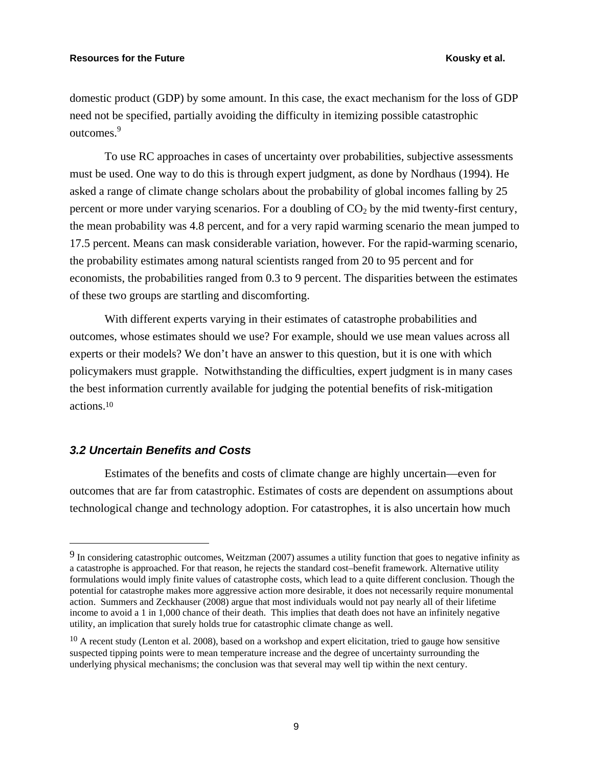domestic product (GDP) by some amount. In this case, the exact mechanism for the loss of GDP need not be specified, partially avoiding the difficulty in itemizing possible catastrophic outcomes.<sup>9</sup>

To use RC approaches in cases of uncertainty over probabilities, subjective assessments must be used. One way to do this is through expert judgment, as done by Nordhaus (1994). He asked a range of climate change scholars about the probability of global incomes falling by 25 percent or more under varying scenarios. For a doubling of  $CO<sub>2</sub>$  by the mid twenty-first century, the mean probability was 4.8 percent, and for a very rapid warming scenario the mean jumped to 17.5 percent. Means can mask considerable variation, however. For the rapid-warming scenario, the probability estimates among natural scientists ranged from 20 to 95 percent and for economists, the probabilities ranged from 0.3 to 9 percent. The disparities between the estimates of these two groups are startling and discomforting.

With different experts varying in their estimates of catastrophe probabilities and outcomes, whose estimates should we use? For example, should we use mean values across all experts or their models? We don't have an answer to this question, but it is one with which policymakers must grapple. Notwithstanding the difficulties, expert judgment is in many cases the best information currently available for judging the potential benefits of risk-mitigation actions.10

#### *3.2 Uncertain Benefits and Costs*

 $\overline{a}$ 

Estimates of the benefits and costs of climate change are highly uncertain—even for outcomes that are far from catastrophic. Estimates of costs are dependent on assumptions about technological change and technology adoption. For catastrophes, it is also uncertain how much

<sup>9</sup> In considering catastrophic outcomes, Weitzman (2007) assumes a utility function that goes to negative infinity as a catastrophe is approached. For that reason, he rejects the standard cost–benefit framework. Alternative utility formulations would imply finite values of catastrophe costs, which lead to a quite different conclusion. Though the potential for catastrophe makes more aggressive action more desirable, it does not necessarily require monumental action. Summers and Zeckhauser (2008) argue that most individuals would not pay nearly all of their lifetime income to avoid a 1 in 1,000 chance of their death. This implies that death does not have an infinitely negative utility, an implication that surely holds true for catastrophic climate change as well.

 $10$  A recent study (Lenton et al. 2008), based on a workshop and expert elicitation, tried to gauge how sensitive suspected tipping points were to mean temperature increase and the degree of uncertainty surrounding the underlying physical mechanisms; the conclusion was that several may well tip within the next century.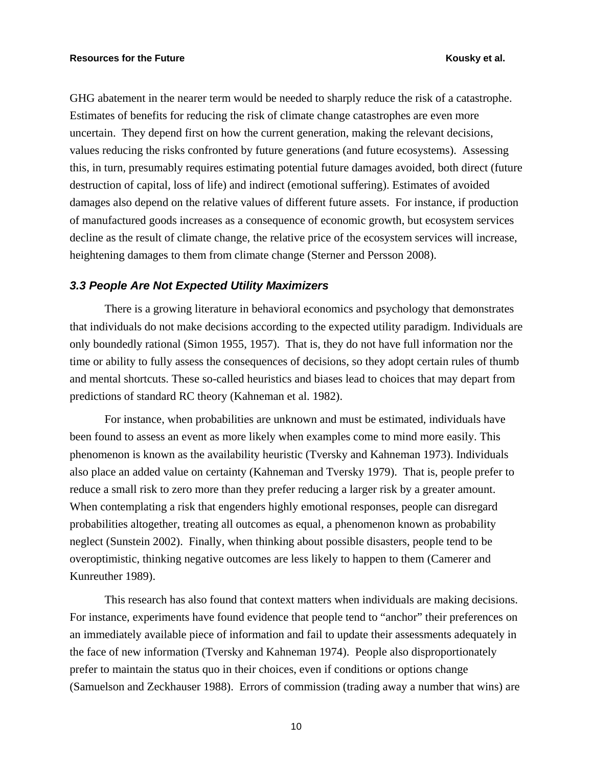GHG abatement in the nearer term would be needed to sharply reduce the risk of a catastrophe. Estimates of benefits for reducing the risk of climate change catastrophes are even more uncertain. They depend first on how the current generation, making the relevant decisions, values reducing the risks confronted by future generations (and future ecosystems). Assessing this, in turn, presumably requires estimating potential future damages avoided, both direct (future destruction of capital, loss of life) and indirect (emotional suffering). Estimates of avoided damages also depend on the relative values of different future assets. For instance, if production of manufactured goods increases as a consequence of economic growth, but ecosystem services decline as the result of climate change, the relative price of the ecosystem services will increase, heightening damages to them from climate change (Sterner and Persson 2008).

#### *3.3 People Are Not Expected Utility Maximizers*

There is a growing literature in behavioral economics and psychology that demonstrates that individuals do not make decisions according to the expected utility paradigm. Individuals are only boundedly rational (Simon 1955, 1957). That is, they do not have full information nor the time or ability to fully assess the consequences of decisions, so they adopt certain rules of thumb and mental shortcuts. These so-called heuristics and biases lead to choices that may depart from predictions of standard RC theory (Kahneman et al. 1982).

For instance, when probabilities are unknown and must be estimated, individuals have been found to assess an event as more likely when examples come to mind more easily. This phenomenon is known as the availability heuristic (Tversky and Kahneman 1973). Individuals also place an added value on certainty (Kahneman and Tversky 1979). That is, people prefer to reduce a small risk to zero more than they prefer reducing a larger risk by a greater amount. When contemplating a risk that engenders highly emotional responses, people can disregard probabilities altogether, treating all outcomes as equal, a phenomenon known as probability neglect (Sunstein 2002). Finally, when thinking about possible disasters, people tend to be overoptimistic, thinking negative outcomes are less likely to happen to them (Camerer and Kunreuther 1989).

This research has also found that context matters when individuals are making decisions. For instance, experiments have found evidence that people tend to "anchor" their preferences on an immediately available piece of information and fail to update their assessments adequately in the face of new information (Tversky and Kahneman 1974). People also disproportionately prefer to maintain the status quo in their choices, even if conditions or options change (Samuelson and Zeckhauser 1988). Errors of commission (trading away a number that wins) are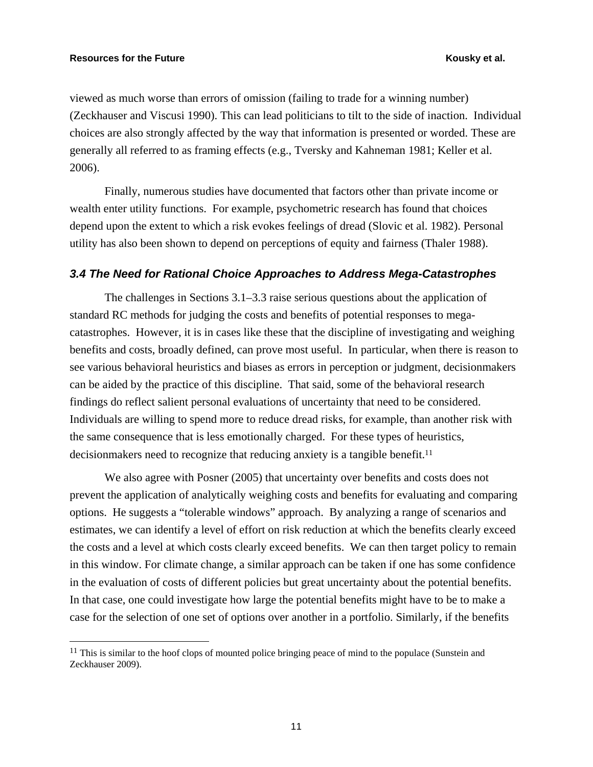$\overline{a}$ 

viewed as much worse than errors of omission (failing to trade for a winning number) (Zeckhauser and Viscusi 1990). This can lead politicians to tilt to the side of inaction. Individual choices are also strongly affected by the way that information is presented or worded. These are generally all referred to as framing effects (e.g., Tversky and Kahneman 1981; Keller et al. 2006).

Finally, numerous studies have documented that factors other than private income or wealth enter utility functions. For example, psychometric research has found that choices depend upon the extent to which a risk evokes feelings of dread (Slovic et al. 1982). Personal utility has also been shown to depend on perceptions of equity and fairness (Thaler 1988).

#### *3.4 The Need for Rational Choice Approaches to Address Mega-Catastrophes*

The challenges in Sections 3.1–3.3 raise serious questions about the application of standard RC methods for judging the costs and benefits of potential responses to megacatastrophes. However, it is in cases like these that the discipline of investigating and weighing benefits and costs, broadly defined, can prove most useful. In particular, when there is reason to see various behavioral heuristics and biases as errors in perception or judgment, decisionmakers can be aided by the practice of this discipline. That said, some of the behavioral research findings do reflect salient personal evaluations of uncertainty that need to be considered. Individuals are willing to spend more to reduce dread risks, for example, than another risk with the same consequence that is less emotionally charged. For these types of heuristics, decisionmakers need to recognize that reducing anxiety is a tangible benefit.11

We also agree with Posner (2005) that uncertainty over benefits and costs does not prevent the application of analytically weighing costs and benefits for evaluating and comparing options. He suggests a "tolerable windows" approach. By analyzing a range of scenarios and estimates, we can identify a level of effort on risk reduction at which the benefits clearly exceed the costs and a level at which costs clearly exceed benefits. We can then target policy to remain in this window. For climate change, a similar approach can be taken if one has some confidence in the evaluation of costs of different policies but great uncertainty about the potential benefits. In that case, one could investigate how large the potential benefits might have to be to make a case for the selection of one set of options over another in a portfolio. Similarly, if the benefits

<sup>&</sup>lt;sup>11</sup> This is similar to the hoof clops of mounted police bringing peace of mind to the populace (Sunstein and Zeckhauser 2009).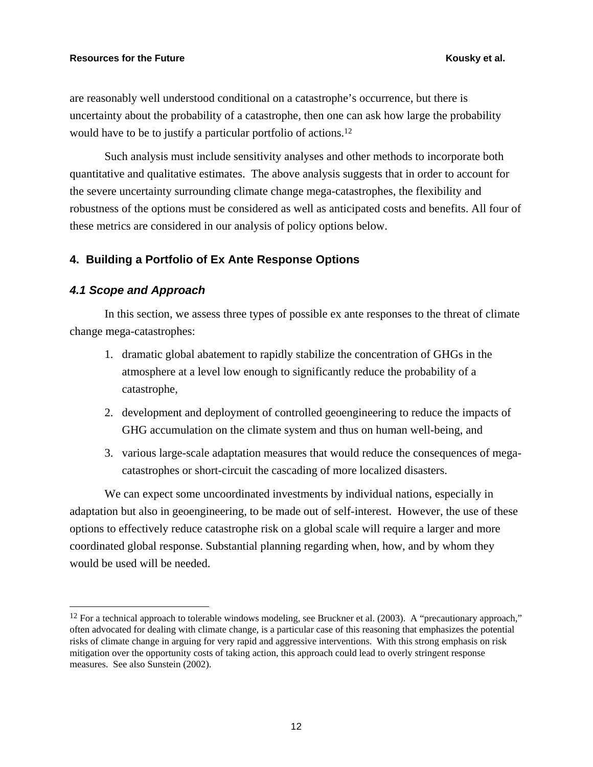are reasonably well understood conditional on a catastrophe's occurrence, but there is uncertainty about the probability of a catastrophe, then one can ask how large the probability would have to be to justify a particular portfolio of actions.<sup>12</sup>

Such analysis must include sensitivity analyses and other methods to incorporate both quantitative and qualitative estimates. The above analysis suggests that in order to account for the severe uncertainty surrounding climate change mega-catastrophes, the flexibility and robustness of the options must be considered as well as anticipated costs and benefits. All four of these metrics are considered in our analysis of policy options below.

### **4. Building a Portfolio of Ex Ante Response Options**

#### *4.1 Scope and Approach*

 $\overline{a}$ 

In this section, we assess three types of possible ex ante responses to the threat of climate change mega-catastrophes:

- 1. dramatic global abatement to rapidly stabilize the concentration of GHGs in the atmosphere at a level low enough to significantly reduce the probability of a catastrophe,
- 2. development and deployment of controlled geoengineering to reduce the impacts of GHG accumulation on the climate system and thus on human well-being, and
- 3. various large-scale adaptation measures that would reduce the consequences of megacatastrophes or short-circuit the cascading of more localized disasters.

We can expect some uncoordinated investments by individual nations, especially in adaptation but also in geoengineering, to be made out of self-interest. However, the use of these options to effectively reduce catastrophe risk on a global scale will require a larger and more coordinated global response. Substantial planning regarding when, how, and by whom they would be used will be needed.

 $12$  For a technical approach to tolerable windows modeling, see Bruckner et al. (2003). A "precautionary approach," often advocated for dealing with climate change, is a particular case of this reasoning that emphasizes the potential risks of climate change in arguing for very rapid and aggressive interventions. With this strong emphasis on risk mitigation over the opportunity costs of taking action, this approach could lead to overly stringent response measures. See also Sunstein (2002).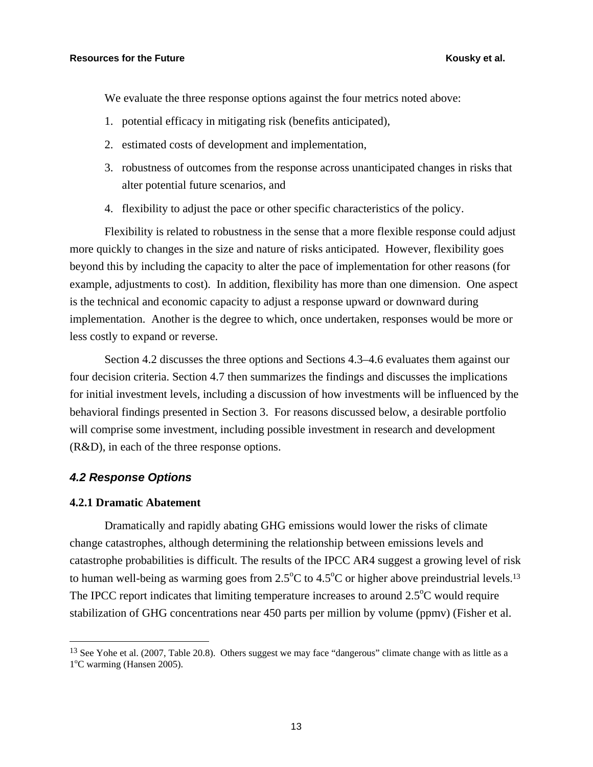We evaluate the three response options against the four metrics noted above:

- 1. potential efficacy in mitigating risk (benefits anticipated),
- 2. estimated costs of development and implementation,
- 3. robustness of outcomes from the response across unanticipated changes in risks that alter potential future scenarios, and
- 4. flexibility to adjust the pace or other specific characteristics of the policy.

Flexibility is related to robustness in the sense that a more flexible response could adjust more quickly to changes in the size and nature of risks anticipated. However, flexibility goes beyond this by including the capacity to alter the pace of implementation for other reasons (for example, adjustments to cost). In addition, flexibility has more than one dimension. One aspect is the technical and economic capacity to adjust a response upward or downward during implementation. Another is the degree to which, once undertaken, responses would be more or less costly to expand or reverse.

Section 4.2 discusses the three options and Sections 4.3–4.6 evaluates them against our four decision criteria. Section 4.7 then summarizes the findings and discusses the implications for initial investment levels, including a discussion of how investments will be influenced by the behavioral findings presented in Section 3. For reasons discussed below, a desirable portfolio will comprise some investment, including possible investment in research and development (R&D), in each of the three response options.

#### *4.2 Response Options*

#### **4.2.1 Dramatic Abatement**

 $\overline{a}$ 

Dramatically and rapidly abating GHG emissions would lower the risks of climate change catastrophes, although determining the relationship between emissions levels and catastrophe probabilities is difficult. The results of the IPCC AR4 suggest a growing level of risk to human well-being as warming goes from  $2.5^{\circ}$ C to  $4.5^{\circ}$ C or higher above preindustrial levels.<sup>13</sup> The IPCC report indicates that limiting temperature increases to around  $2.5^{\circ}$ C would require stabilization of GHG concentrations near 450 parts per million by volume (ppmv) (Fisher et al.

<sup>&</sup>lt;sup>13</sup> See Yohe et al. (2007, Table 20.8). Others suggest we may face "dangerous" climate change with as little as a 1<sup>o</sup>C warming (Hansen 2005).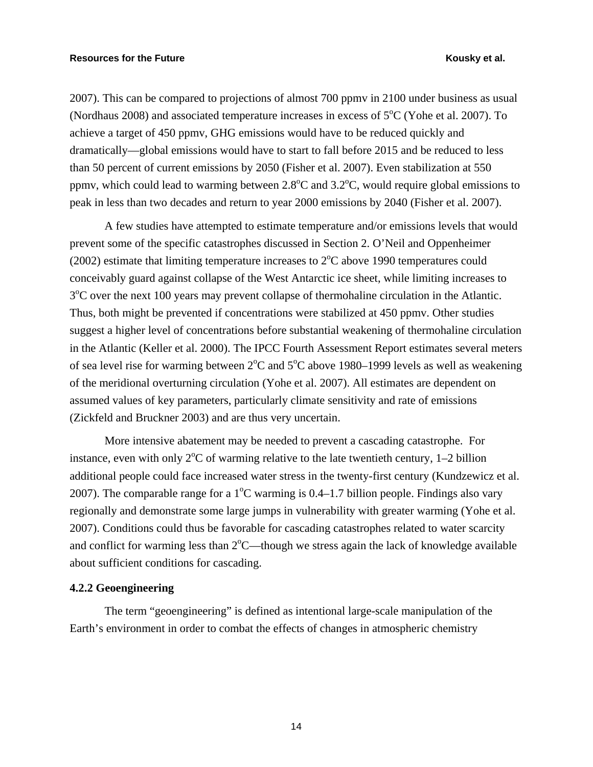2007). This can be compared to projections of almost 700 ppmv in 2100 under business as usual (Nordhaus 2008) and associated temperature increases in excess of  $5^{\circ}$ C (Yohe et al. 2007). To achieve a target of 450 ppmv, GHG emissions would have to be reduced quickly and dramatically—global emissions would have to start to fall before 2015 and be reduced to less than 50 percent of current emissions by 2050 (Fisher et al. 2007). Even stabilization at 550 ppmv, which could lead to warming between  $2.8^{\circ}$ C and  $3.2^{\circ}$ C, would require global emissions to peak in less than two decades and return to year 2000 emissions by 2040 (Fisher et al. 2007).

A few studies have attempted to estimate temperature and/or emissions levels that would prevent some of the specific catastrophes discussed in Section 2. O'Neil and Oppenheimer (2002) estimate that limiting temperature increases to  $2^{\circ}$ C above 1990 temperatures could conceivably guard against collapse of the West Antarctic ice sheet, while limiting increases to 3<sup>o</sup>C over the next 100 years may prevent collapse of thermohaline circulation in the Atlantic. Thus, both might be prevented if concentrations were stabilized at 450 ppmv. Other studies suggest a higher level of concentrations before substantial weakening of thermohaline circulation in the Atlantic (Keller et al. 2000). The IPCC Fourth Assessment Report estimates several meters of sea level rise for warming between  $2^{\circ}$ C and  $5^{\circ}$ C above 1980–1999 levels as well as weakening of the meridional overturning circulation (Yohe et al. 2007). All estimates are dependent on assumed values of key parameters, particularly climate sensitivity and rate of emissions (Zickfeld and Bruckner 2003) and are thus very uncertain.

More intensive abatement may be needed to prevent a cascading catastrophe. For instance, even with only  $2^{\circ}C$  of warming relative to the late twentieth century, 1–2 billion additional people could face increased water stress in the twenty-first century (Kundzewicz et al. 2007). The comparable range for a  $1^{\circ}$ C warming is 0.4–1.7 billion people. Findings also vary regionally and demonstrate some large jumps in vulnerability with greater warming (Yohe et al. 2007). Conditions could thus be favorable for cascading catastrophes related to water scarcity and conflict for warming less than  $2^{\circ}$ C—though we stress again the lack of knowledge available about sufficient conditions for cascading.

### **4.2.2 Geoengineering**

The term "geoengineering" is defined as intentional large-scale manipulation of the Earth's environment in order to combat the effects of changes in atmospheric chemistry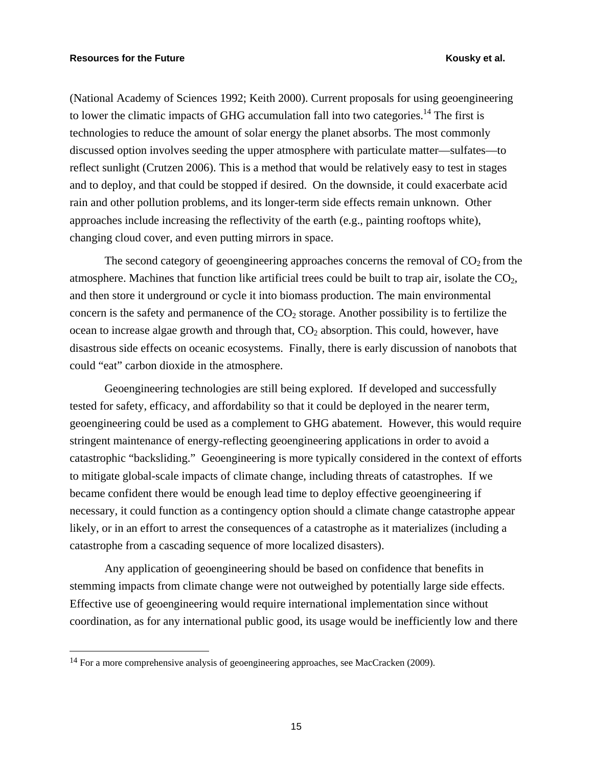$\overline{a}$ 

(National Academy of Sciences 1992; Keith 2000). Current proposals for using geoengineering to lower the climatic impacts of GHG accumulation fall into two categories.<sup>14</sup> The first is technologies to reduce the amount of solar energy the planet absorbs. The most commonly discussed option involves seeding the upper atmosphere with particulate matter—sulfates—to reflect sunlight (Crutzen 2006). This is a method that would be relatively easy to test in stages and to deploy, and that could be stopped if desired. On the downside, it could exacerbate acid rain and other pollution problems, and its longer-term side effects remain unknown. Other approaches include increasing the reflectivity of the earth (e.g., painting rooftops white), changing cloud cover, and even putting mirrors in space.

The second category of geoengineering approaches concerns the removal of  $CO<sub>2</sub>$  from the atmosphere. Machines that function like artificial trees could be built to trap air, isolate the  $CO<sub>2</sub>$ , and then store it underground or cycle it into biomass production. The main environmental concern is the safety and permanence of the  $CO<sub>2</sub>$  storage. Another possibility is to fertilize the ocean to increase algae growth and through that,  $CO<sub>2</sub>$  absorption. This could, however, have disastrous side effects on oceanic ecosystems. Finally, there is early discussion of nanobots that could "eat" carbon dioxide in the atmosphere.

Geoengineering technologies are still being explored. If developed and successfully tested for safety, efficacy, and affordability so that it could be deployed in the nearer term, geoengineering could be used as a complement to GHG abatement. However, this would require stringent maintenance of energy-reflecting geoengineering applications in order to avoid a catastrophic "backsliding." Geoengineering is more typically considered in the context of efforts to mitigate global-scale impacts of climate change, including threats of catastrophes. If we became confident there would be enough lead time to deploy effective geoengineering if necessary, it could function as a contingency option should a climate change catastrophe appear likely, or in an effort to arrest the consequences of a catastrophe as it materializes (including a catastrophe from a cascading sequence of more localized disasters).

Any application of geoengineering should be based on confidence that benefits in stemming impacts from climate change were not outweighed by potentially large side effects. Effective use of geoengineering would require international implementation since without coordination, as for any international public good, its usage would be inefficiently low and there

<sup>&</sup>lt;sup>14</sup> For a more comprehensive analysis of geoengineering approaches, see MacCracken (2009).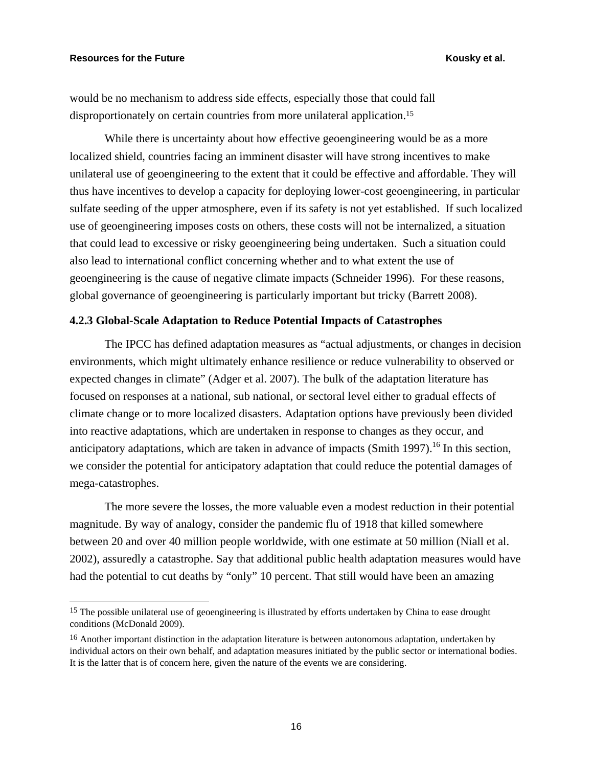$\overline{a}$ 

would be no mechanism to address side effects, especially those that could fall disproportionately on certain countries from more unilateral application.15

While there is uncertainty about how effective geoengineering would be as a more localized shield, countries facing an imminent disaster will have strong incentives to make unilateral use of geoengineering to the extent that it could be effective and affordable. They will thus have incentives to develop a capacity for deploying lower-cost geoengineering, in particular sulfate seeding of the upper atmosphere, even if its safety is not yet established. If such localized use of geoengineering imposes costs on others, these costs will not be internalized, a situation that could lead to excessive or risky geoengineering being undertaken. Such a situation could also lead to international conflict concerning whether and to what extent the use of geoengineering is the cause of negative climate impacts (Schneider 1996). For these reasons, global governance of geoengineering is particularly important but tricky (Barrett 2008).

### **4.2.3 Global-Scale Adaptation to Reduce Potential Impacts of Catastrophes**

The IPCC has defined adaptation measures as "actual adjustments, or changes in decision environments, which might ultimately enhance resilience or reduce vulnerability to observed or expected changes in climate" (Adger et al. 2007). The bulk of the adaptation literature has focused on responses at a national, sub national, or sectoral level either to gradual effects of climate change or to more localized disasters. Adaptation options have previously been divided into reactive adaptations, which are undertaken in response to changes as they occur, and anticipatory adaptations, which are taken in advance of impacts (Smith 1997).<sup>16</sup> In this section, we consider the potential for anticipatory adaptation that could reduce the potential damages of mega-catastrophes.

The more severe the losses, the more valuable even a modest reduction in their potential magnitude. By way of analogy, consider the pandemic flu of 1918 that killed somewhere between 20 and over 40 million people worldwide, with one estimate at 50 million (Niall et al. 2002), assuredly a catastrophe. Say that additional public health adaptation measures would have had the potential to cut deaths by "only" 10 percent. That still would have been an amazing

<sup>&</sup>lt;sup>15</sup> The possible unilateral use of geoengineering is illustrated by efforts undertaken by China to ease drought conditions (McDonald 2009).

<sup>&</sup>lt;sup>16</sup> Another important distinction in the adaptation literature is between autonomous adaptation, undertaken by individual actors on their own behalf, and adaptation measures initiated by the public sector or international bodies. It is the latter that is of concern here, given the nature of the events we are considering.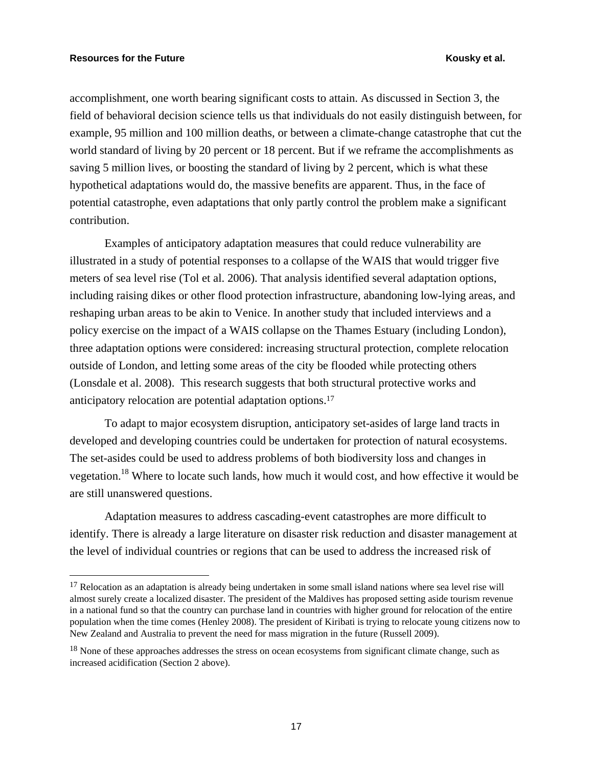<u>.</u>

accomplishment, one worth bearing significant costs to attain. As discussed in Section 3, the field of behavioral decision science tells us that individuals do not easily distinguish between, for example, 95 million and 100 million deaths, or between a climate-change catastrophe that cut the world standard of living by 20 percent or 18 percent. But if we reframe the accomplishments as saving 5 million lives, or boosting the standard of living by 2 percent, which is what these hypothetical adaptations would do, the massive benefits are apparent. Thus, in the face of potential catastrophe, even adaptations that only partly control the problem make a significant contribution.

Examples of anticipatory adaptation measures that could reduce vulnerability are illustrated in a study of potential responses to a collapse of the WAIS that would trigger five meters of sea level rise (Tol et al. 2006). That analysis identified several adaptation options, including raising dikes or other flood protection infrastructure, abandoning low-lying areas, and reshaping urban areas to be akin to Venice. In another study that included interviews and a policy exercise on the impact of a WAIS collapse on the Thames Estuary (including London), three adaptation options were considered: increasing structural protection, complete relocation outside of London, and letting some areas of the city be flooded while protecting others (Lonsdale et al. 2008). This research suggests that both structural protective works and anticipatory relocation are potential adaptation options.17

To adapt to major ecosystem disruption, anticipatory set-asides of large land tracts in developed and developing countries could be undertaken for protection of natural ecosystems. The set-asides could be used to address problems of both biodiversity loss and changes in vegetation.18 Where to locate such lands, how much it would cost, and how effective it would be are still unanswered questions.

Adaptation measures to address cascading-event catastrophes are more difficult to identify. There is already a large literature on disaster risk reduction and disaster management at the level of individual countries or regions that can be used to address the increased risk of

<sup>&</sup>lt;sup>17</sup> Relocation as an adaptation is already being undertaken in some small island nations where sea level rise will almost surely create a localized disaster. The president of the Maldives has proposed setting aside tourism revenue in a national fund so that the country can purchase land in countries with higher ground for relocation of the entire population when the time comes (Henley 2008). The president of Kiribati is trying to relocate young citizens now to New Zealand and Australia to prevent the need for mass migration in the future (Russell 2009).

<sup>&</sup>lt;sup>18</sup> None of these approaches addresses the stress on ocean ecosystems from significant climate change, such as increased acidification (Section 2 above).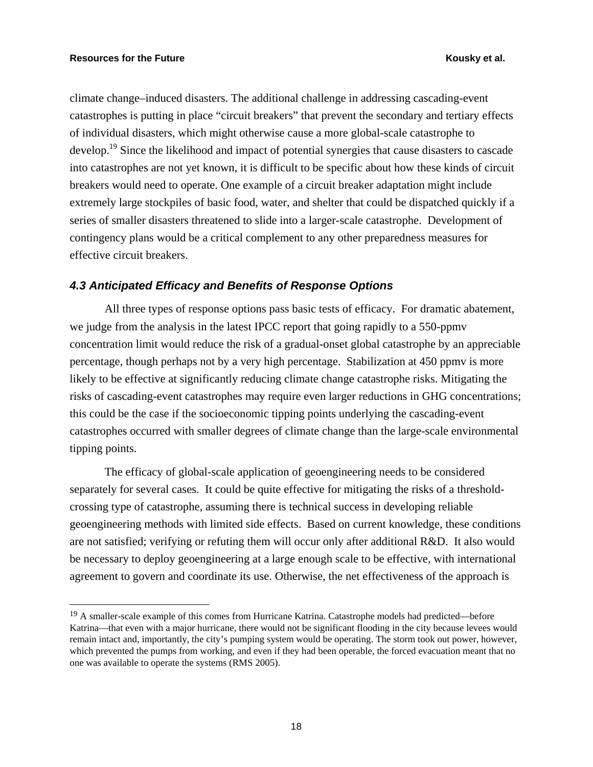$\overline{a}$ 

climate change–induced disasters. The additional challenge in addressing cascading-event catastrophes is putting in place "circuit breakers" that prevent the secondary and tertiary effects of individual disasters, which might otherwise cause a more global-scale catastrophe to develop.<sup>19</sup> Since the likelihood and impact of potential synergies that cause disasters to cascade into catastrophes are not yet known, it is difficult to be specific about how these kinds of circuit breakers would need to operate. One example of a circuit breaker adaptation might include extremely large stockpiles of basic food, water, and shelter that could be dispatched quickly if a series of smaller disasters threatened to slide into a larger-scale catastrophe. Development of contingency plans would be a critical complement to any other preparedness measures for effective circuit breakers.

#### *4.3 Anticipated Efficacy and Benefits of Response Options*

All three types of response options pass basic tests of efficacy. For dramatic abatement, we judge from the analysis in the latest IPCC report that going rapidly to a 550-ppmv concentration limit would reduce the risk of a gradual-onset global catastrophe by an appreciable percentage, though perhaps not by a very high percentage. Stabilization at 450 ppmv is more likely to be effective at significantly reducing climate change catastrophe risks. Mitigating the risks of cascading-event catastrophes may require even larger reductions in GHG concentrations; this could be the case if the socioeconomic tipping points underlying the cascading-event catastrophes occurred with smaller degrees of climate change than the large-scale environmental tipping points.

The efficacy of global-scale application of geoengineering needs to be considered separately for several cases. It could be quite effective for mitigating the risks of a thresholdcrossing type of catastrophe, assuming there is technical success in developing reliable geoengineering methods with limited side effects. Based on current knowledge, these conditions are not satisfied; verifying or refuting them will occur only after additional R&D. It also would be necessary to deploy geoengineering at a large enough scale to be effective, with international agreement to govern and coordinate its use. Otherwise, the net effectiveness of the approach is

<sup>19</sup> A smaller-scale example of this comes from Hurricane Katrina. Catastrophe models had predicted—before Katrina—that even with a major hurricane, there would not be significant flooding in the city because levees would remain intact and, importantly, the city's pumping system would be operating. The storm took out power, however, which prevented the pumps from working, and even if they had been operable, the forced evacuation meant that no one was available to operate the systems (RMS 2005).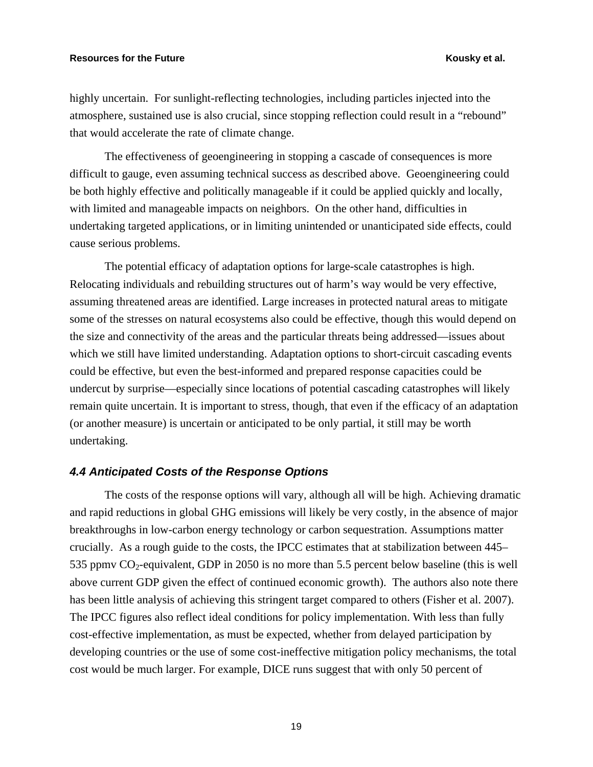highly uncertain. For sunlight-reflecting technologies, including particles injected into the atmosphere, sustained use is also crucial, since stopping reflection could result in a "rebound" that would accelerate the rate of climate change.

The effectiveness of geoengineering in stopping a cascade of consequences is more difficult to gauge, even assuming technical success as described above. Geoengineering could be both highly effective and politically manageable if it could be applied quickly and locally, with limited and manageable impacts on neighbors. On the other hand, difficulties in undertaking targeted applications, or in limiting unintended or unanticipated side effects, could cause serious problems.

The potential efficacy of adaptation options for large-scale catastrophes is high. Relocating individuals and rebuilding structures out of harm's way would be very effective, assuming threatened areas are identified. Large increases in protected natural areas to mitigate some of the stresses on natural ecosystems also could be effective, though this would depend on the size and connectivity of the areas and the particular threats being addressed—issues about which we still have limited understanding. Adaptation options to short-circuit cascading events could be effective, but even the best-informed and prepared response capacities could be undercut by surprise—especially since locations of potential cascading catastrophes will likely remain quite uncertain. It is important to stress, though, that even if the efficacy of an adaptation (or another measure) is uncertain or anticipated to be only partial, it still may be worth undertaking.

#### *4.4 Anticipated Costs of the Response Options*

The costs of the response options will vary, although all will be high. Achieving dramatic and rapid reductions in global GHG emissions will likely be very costly, in the absence of major breakthroughs in low-carbon energy technology or carbon sequestration. Assumptions matter crucially. As a rough guide to the costs, the IPCC estimates that at stabilization between 445– 535 ppmv  $CO_2$ -equivalent, GDP in 2050 is no more than 5.5 percent below baseline (this is well above current GDP given the effect of continued economic growth). The authors also note there has been little analysis of achieving this stringent target compared to others (Fisher et al. 2007). The IPCC figures also reflect ideal conditions for policy implementation. With less than fully cost-effective implementation, as must be expected, whether from delayed participation by developing countries or the use of some cost-ineffective mitigation policy mechanisms, the total cost would be much larger. For example, DICE runs suggest that with only 50 percent of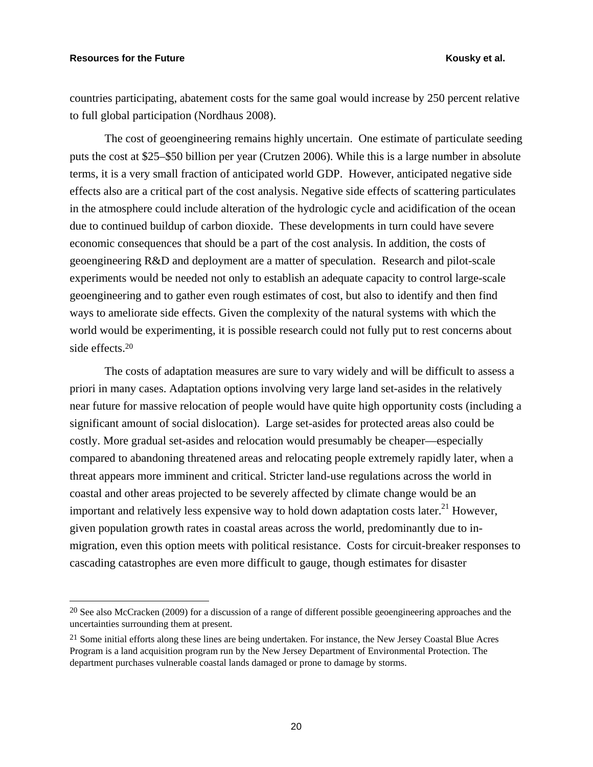$\overline{a}$ 

countries participating, abatement costs for the same goal would increase by 250 percent relative to full global participation (Nordhaus 2008).

The cost of geoengineering remains highly uncertain. One estimate of particulate seeding puts the cost at \$25–\$50 billion per year (Crutzen 2006). While this is a large number in absolute terms, it is a very small fraction of anticipated world GDP. However, anticipated negative side effects also are a critical part of the cost analysis. Negative side effects of scattering particulates in the atmosphere could include alteration of the hydrologic cycle and acidification of the ocean due to continued buildup of carbon dioxide. These developments in turn could have severe economic consequences that should be a part of the cost analysis. In addition, the costs of geoengineering R&D and deployment are a matter of speculation. Research and pilot-scale experiments would be needed not only to establish an adequate capacity to control large-scale geoengineering and to gather even rough estimates of cost, but also to identify and then find ways to ameliorate side effects. Given the complexity of the natural systems with which the world would be experimenting, it is possible research could not fully put to rest concerns about side effects.20

The costs of adaptation measures are sure to vary widely and will be difficult to assess a priori in many cases. Adaptation options involving very large land set-asides in the relatively near future for massive relocation of people would have quite high opportunity costs (including a significant amount of social dislocation). Large set-asides for protected areas also could be costly. More gradual set-asides and relocation would presumably be cheaper—especially compared to abandoning threatened areas and relocating people extremely rapidly later, when a threat appears more imminent and critical. Stricter land-use regulations across the world in coastal and other areas projected to be severely affected by climate change would be an important and relatively less expensive way to hold down adaptation costs later.<sup>21</sup> However, given population growth rates in coastal areas across the world, predominantly due to inmigration, even this option meets with political resistance. Costs for circuit-breaker responses to cascading catastrophes are even more difficult to gauge, though estimates for disaster

 $20$  See also McCracken (2009) for a discussion of a range of different possible geoengineering approaches and the uncertainties surrounding them at present.

<sup>&</sup>lt;sup>21</sup> Some initial efforts along these lines are being undertaken. For instance, the New Jersey Coastal Blue Acres Program is a land acquisition program run by the New Jersey Department of Environmental Protection. The department purchases vulnerable coastal lands damaged or prone to damage by storms.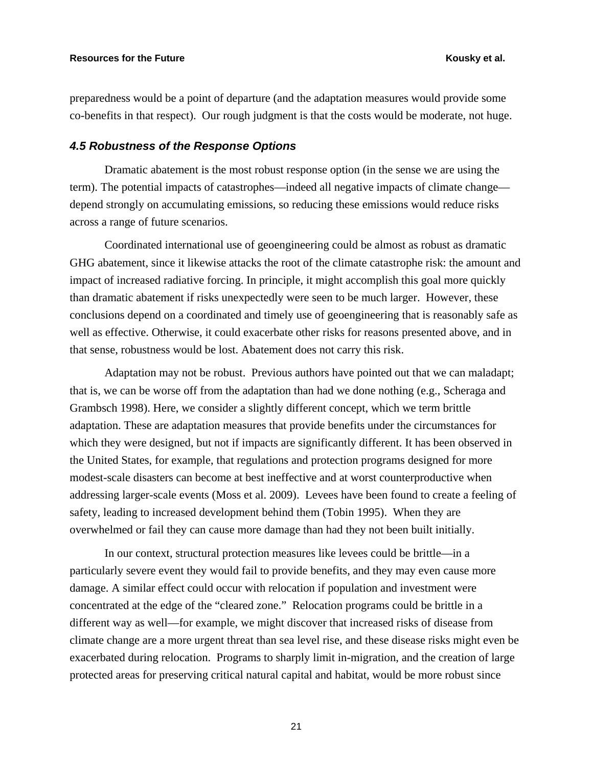preparedness would be a point of departure (and the adaptation measures would provide some co-benefits in that respect). Our rough judgment is that the costs would be moderate, not huge.

#### *4.5 Robustness of the Response Options*

Dramatic abatement is the most robust response option (in the sense we are using the term). The potential impacts of catastrophes—indeed all negative impacts of climate change depend strongly on accumulating emissions, so reducing these emissions would reduce risks across a range of future scenarios.

Coordinated international use of geoengineering could be almost as robust as dramatic GHG abatement, since it likewise attacks the root of the climate catastrophe risk: the amount and impact of increased radiative forcing. In principle, it might accomplish this goal more quickly than dramatic abatement if risks unexpectedly were seen to be much larger. However, these conclusions depend on a coordinated and timely use of geoengineering that is reasonably safe as well as effective. Otherwise, it could exacerbate other risks for reasons presented above, and in that sense, robustness would be lost. Abatement does not carry this risk.

Adaptation may not be robust. Previous authors have pointed out that we can maladapt; that is, we can be worse off from the adaptation than had we done nothing (e.g., Scheraga and Grambsch 1998). Here, we consider a slightly different concept, which we term brittle adaptation. These are adaptation measures that provide benefits under the circumstances for which they were designed, but not if impacts are significantly different. It has been observed in the United States, for example, that regulations and protection programs designed for more modest-scale disasters can become at best ineffective and at worst counterproductive when addressing larger-scale events (Moss et al. 2009). Levees have been found to create a feeling of safety, leading to increased development behind them (Tobin 1995). When they are overwhelmed or fail they can cause more damage than had they not been built initially.

In our context, structural protection measures like levees could be brittle—in a particularly severe event they would fail to provide benefits, and they may even cause more damage. A similar effect could occur with relocation if population and investment were concentrated at the edge of the "cleared zone." Relocation programs could be brittle in a different way as well—for example, we might discover that increased risks of disease from climate change are a more urgent threat than sea level rise, and these disease risks might even be exacerbated during relocation. Programs to sharply limit in-migration, and the creation of large protected areas for preserving critical natural capital and habitat, would be more robust since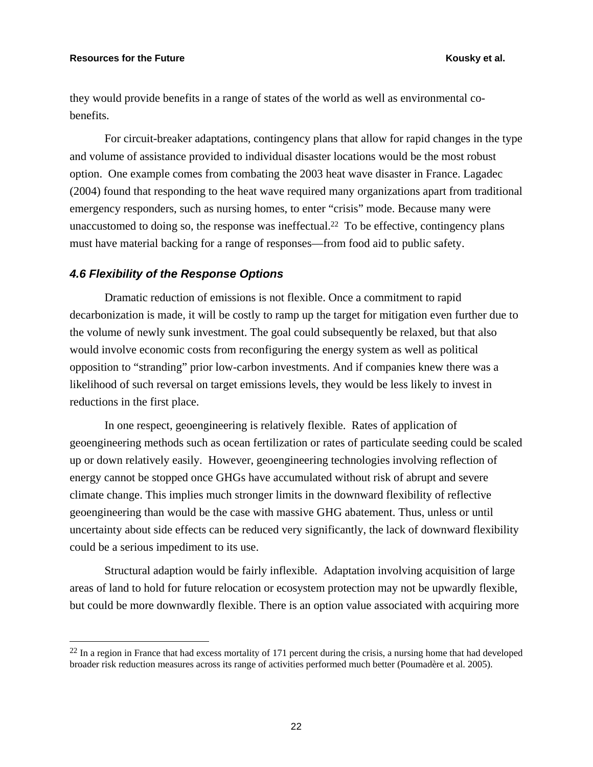1

they would provide benefits in a range of states of the world as well as environmental cobenefits.

For circuit-breaker adaptations, contingency plans that allow for rapid changes in the type and volume of assistance provided to individual disaster locations would be the most robust option. One example comes from combating the 2003 heat wave disaster in France. Lagadec (2004) found that responding to the heat wave required many organizations apart from traditional emergency responders, such as nursing homes, to enter "crisis" mode. Because many were unaccustomed to doing so, the response was ineffectual.<sup>22</sup> To be effective, contingency plans must have material backing for a range of responses—from food aid to public safety.

#### *4.6 Flexibility of the Response Options*

Dramatic reduction of emissions is not flexible. Once a commitment to rapid decarbonization is made, it will be costly to ramp up the target for mitigation even further due to the volume of newly sunk investment. The goal could subsequently be relaxed, but that also would involve economic costs from reconfiguring the energy system as well as political opposition to "stranding" prior low-carbon investments. And if companies knew there was a likelihood of such reversal on target emissions levels, they would be less likely to invest in reductions in the first place.

In one respect, geoengineering is relatively flexible. Rates of application of geoengineering methods such as ocean fertilization or rates of particulate seeding could be scaled up or down relatively easily. However, geoengineering technologies involving reflection of energy cannot be stopped once GHGs have accumulated without risk of abrupt and severe climate change. This implies much stronger limits in the downward flexibility of reflective geoengineering than would be the case with massive GHG abatement. Thus, unless or until uncertainty about side effects can be reduced very significantly, the lack of downward flexibility could be a serious impediment to its use.

Structural adaption would be fairly inflexible. Adaptation involving acquisition of large areas of land to hold for future relocation or ecosystem protection may not be upwardly flexible, but could be more downwardly flexible. There is an option value associated with acquiring more

 $^{22}$  In a region in France that had excess mortality of 171 percent during the crisis, a nursing home that had developed broader risk reduction measures across its range of activities performed much better (Poumadère et al. 2005).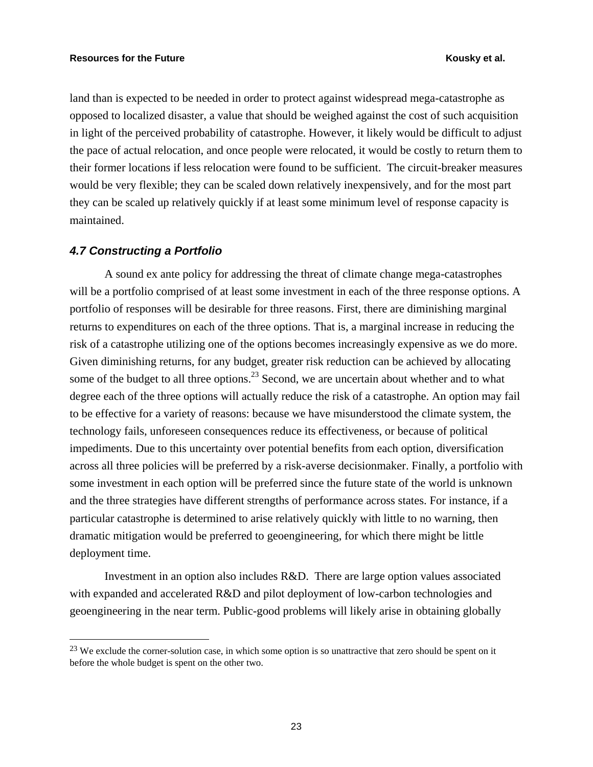land than is expected to be needed in order to protect against widespread mega-catastrophe as opposed to localized disaster, a value that should be weighed against the cost of such acquisition in light of the perceived probability of catastrophe. However, it likely would be difficult to adjust the pace of actual relocation, and once people were relocated, it would be costly to return them to their former locations if less relocation were found to be sufficient. The circuit-breaker measures would be very flexible; they can be scaled down relatively inexpensively, and for the most part they can be scaled up relatively quickly if at least some minimum level of response capacity is maintained.

### *4.7 Constructing a Portfolio*

 $\overline{a}$ 

A sound ex ante policy for addressing the threat of climate change mega-catastrophes will be a portfolio comprised of at least some investment in each of the three response options. A portfolio of responses will be desirable for three reasons. First, there are diminishing marginal returns to expenditures on each of the three options. That is, a marginal increase in reducing the risk of a catastrophe utilizing one of the options becomes increasingly expensive as we do more. Given diminishing returns, for any budget, greater risk reduction can be achieved by allocating some of the budget to all three options.<sup>23</sup> Second, we are uncertain about whether and to what degree each of the three options will actually reduce the risk of a catastrophe. An option may fail to be effective for a variety of reasons: because we have misunderstood the climate system, the technology fails, unforeseen consequences reduce its effectiveness, or because of political impediments. Due to this uncertainty over potential benefits from each option, diversification across all three policies will be preferred by a risk-averse decisionmaker. Finally, a portfolio with some investment in each option will be preferred since the future state of the world is unknown and the three strategies have different strengths of performance across states. For instance, if a particular catastrophe is determined to arise relatively quickly with little to no warning, then dramatic mitigation would be preferred to geoengineering, for which there might be little deployment time.

Investment in an option also includes R&D. There are large option values associated with expanded and accelerated R&D and pilot deployment of low-carbon technologies and geoengineering in the near term. Public-good problems will likely arise in obtaining globally

<sup>&</sup>lt;sup>23</sup> We exclude the corner-solution case, in which some option is so unattractive that zero should be spent on it before the whole budget is spent on the other two.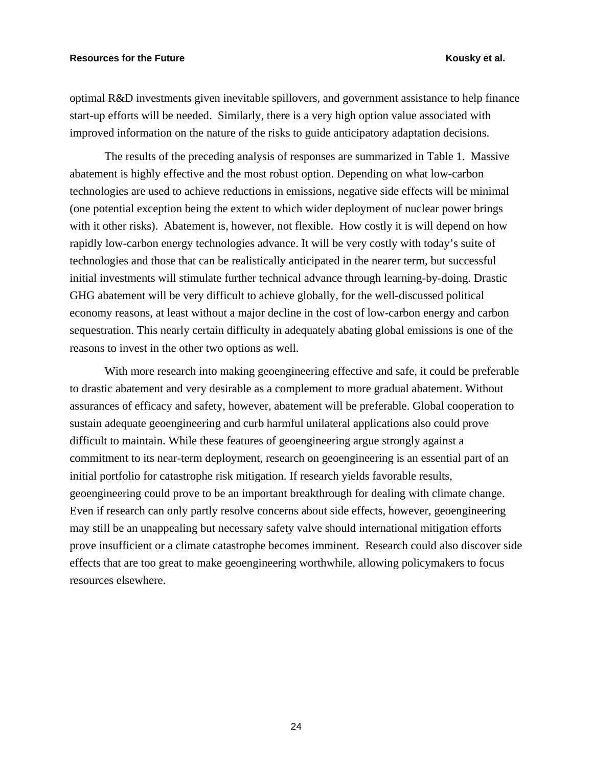optimal R&D investments given inevitable spillovers, and government assistance to help finance start-up efforts will be needed. Similarly, there is a very high option value associated with improved information on the nature of the risks to guide anticipatory adaptation decisions.

The results of the preceding analysis of responses are summarized in Table 1. Massive abatement is highly effective and the most robust option. Depending on what low-carbon technologies are used to achieve reductions in emissions, negative side effects will be minimal (one potential exception being the extent to which wider deployment of nuclear power brings with it other risks). Abatement is, however, not flexible. How costly it is will depend on how rapidly low-carbon energy technologies advance. It will be very costly with today's suite of technologies and those that can be realistically anticipated in the nearer term, but successful initial investments will stimulate further technical advance through learning-by-doing. Drastic GHG abatement will be very difficult to achieve globally, for the well-discussed political economy reasons, at least without a major decline in the cost of low-carbon energy and carbon sequestration. This nearly certain difficulty in adequately abating global emissions is one of the reasons to invest in the other two options as well.

With more research into making geoengineering effective and safe, it could be preferable to drastic abatement and very desirable as a complement to more gradual abatement. Without assurances of efficacy and safety, however, abatement will be preferable. Global cooperation to sustain adequate geoengineering and curb harmful unilateral applications also could prove difficult to maintain. While these features of geoengineering argue strongly against a commitment to its near-term deployment, research on geoengineering is an essential part of an initial portfolio for catastrophe risk mitigation. If research yields favorable results, geoengineering could prove to be an important breakthrough for dealing with climate change. Even if research can only partly resolve concerns about side effects, however, geoengineering may still be an unappealing but necessary safety valve should international mitigation efforts prove insufficient or a climate catastrophe becomes imminent. Research could also discover side effects that are too great to make geoengineering worthwhile, allowing policymakers to focus resources elsewhere.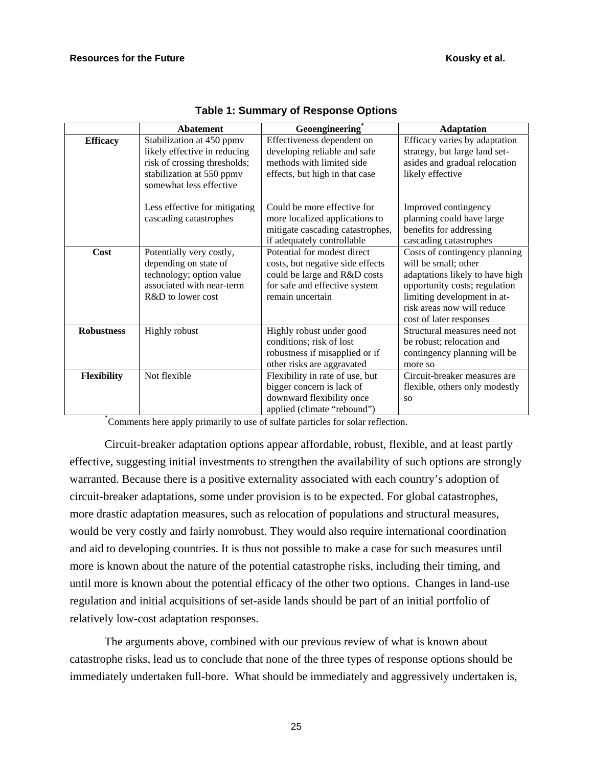|                    | <b>Abatement</b>                                                                                                                                  | Geoengineering                                                                                                                                       | <b>Adaptation</b>                                                                                                                                                                                                 |
|--------------------|---------------------------------------------------------------------------------------------------------------------------------------------------|------------------------------------------------------------------------------------------------------------------------------------------------------|-------------------------------------------------------------------------------------------------------------------------------------------------------------------------------------------------------------------|
| <b>Efficacy</b>    | Stabilization at 450 ppmv<br>likely effective in reducing<br>risk of crossing thresholds;<br>stabilization at 550 ppmv<br>somewhat less effective | Effectiveness dependent on<br>developing reliable and safe<br>methods with limited side<br>effects, but high in that case                            | Efficacy varies by adaptation<br>strategy, but large land set-<br>asides and gradual relocation<br>likely effective                                                                                               |
|                    | Less effective for mitigating<br>cascading catastrophes                                                                                           | Could be more effective for<br>more localized applications to<br>mitigate cascading catastrophes,<br>if adequately controllable                      | Improved contingency<br>planning could have large<br>benefits for addressing<br>cascading catastrophes                                                                                                            |
| Cost               | Potentially very costly,<br>depending on state of<br>technology; option value<br>associated with near-term<br>R&D to lower cost                   | Potential for modest direct<br>costs, but negative side effects<br>could be large and R&D costs<br>for safe and effective system<br>remain uncertain | Costs of contingency planning<br>will be small; other<br>adaptations likely to have high<br>opportunity costs; regulation<br>limiting development in at-<br>risk areas now will reduce<br>cost of later responses |
| <b>Robustness</b>  | <b>Highly robust</b>                                                                                                                              | Highly robust under good<br>conditions; risk of lost<br>robustness if misapplied or if<br>other risks are aggravated                                 | Structural measures need not<br>be robust; relocation and<br>contingency planning will be<br>more so                                                                                                              |
| <b>Flexibility</b> | Not flexible                                                                                                                                      | Flexibility in rate of use, but<br>bigger concern is lack of<br>downward flexibility once<br>applied (climate "rebound")                             | Circuit-breaker measures are<br>flexible, others only modestly<br><b>SO</b>                                                                                                                                       |

\* Comments here apply primarily to use of sulfate particles for solar reflection.

Circuit-breaker adaptation options appear affordable, robust, flexible, and at least partly effective, suggesting initial investments to strengthen the availability of such options are strongly warranted. Because there is a positive externality associated with each country's adoption of circuit-breaker adaptations, some under provision is to be expected. For global catastrophes, more drastic adaptation measures, such as relocation of populations and structural measures, would be very costly and fairly nonrobust. They would also require international coordination and aid to developing countries. It is thus not possible to make a case for such measures until more is known about the nature of the potential catastrophe risks, including their timing, and until more is known about the potential efficacy of the other two options. Changes in land-use regulation and initial acquisitions of set-aside lands should be part of an initial portfolio of relatively low-cost adaptation responses.

The arguments above, combined with our previous review of what is known about catastrophe risks, lead us to conclude that none of the three types of response options should be immediately undertaken full-bore. What should be immediately and aggressively undertaken is,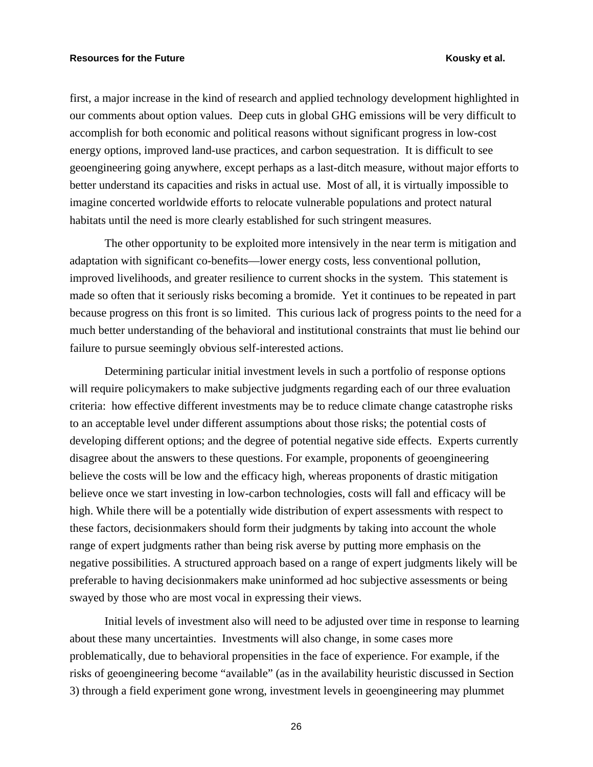first, a major increase in the kind of research and applied technology development highlighted in our comments about option values. Deep cuts in global GHG emissions will be very difficult to accomplish for both economic and political reasons without significant progress in low-cost energy options, improved land-use practices, and carbon sequestration. It is difficult to see geoengineering going anywhere, except perhaps as a last-ditch measure, without major efforts to better understand its capacities and risks in actual use. Most of all, it is virtually impossible to imagine concerted worldwide efforts to relocate vulnerable populations and protect natural habitats until the need is more clearly established for such stringent measures.

The other opportunity to be exploited more intensively in the near term is mitigation and adaptation with significant co-benefits—lower energy costs, less conventional pollution, improved livelihoods, and greater resilience to current shocks in the system. This statement is made so often that it seriously risks becoming a bromide. Yet it continues to be repeated in part because progress on this front is so limited. This curious lack of progress points to the need for a much better understanding of the behavioral and institutional constraints that must lie behind our failure to pursue seemingly obvious self-interested actions.

Determining particular initial investment levels in such a portfolio of response options will require policymakers to make subjective judgments regarding each of our three evaluation criteria: how effective different investments may be to reduce climate change catastrophe risks to an acceptable level under different assumptions about those risks; the potential costs of developing different options; and the degree of potential negative side effects. Experts currently disagree about the answers to these questions. For example, proponents of geoengineering believe the costs will be low and the efficacy high, whereas proponents of drastic mitigation believe once we start investing in low-carbon technologies, costs will fall and efficacy will be high. While there will be a potentially wide distribution of expert assessments with respect to these factors, decisionmakers should form their judgments by taking into account the whole range of expert judgments rather than being risk averse by putting more emphasis on the negative possibilities. A structured approach based on a range of expert judgments likely will be preferable to having decisionmakers make uninformed ad hoc subjective assessments or being swayed by those who are most vocal in expressing their views.

Initial levels of investment also will need to be adjusted over time in response to learning about these many uncertainties. Investments will also change, in some cases more problematically, due to behavioral propensities in the face of experience. For example, if the risks of geoengineering become "available" (as in the availability heuristic discussed in Section 3) through a field experiment gone wrong, investment levels in geoengineering may plummet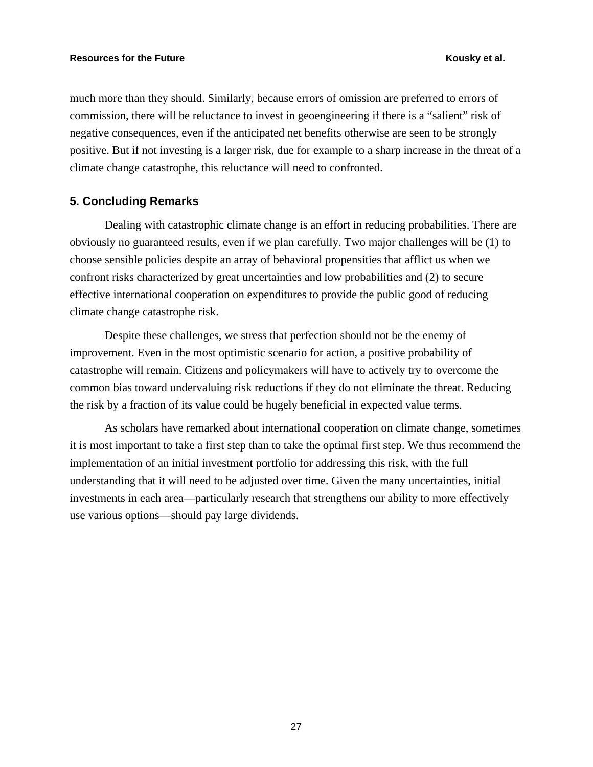much more than they should. Similarly, because errors of omission are preferred to errors of commission, there will be reluctance to invest in geoengineering if there is a "salient" risk of negative consequences, even if the anticipated net benefits otherwise are seen to be strongly positive. But if not investing is a larger risk, due for example to a sharp increase in the threat of a climate change catastrophe, this reluctance will need to confronted.

### **5. Concluding Remarks**

Dealing with catastrophic climate change is an effort in reducing probabilities. There are obviously no guaranteed results, even if we plan carefully. Two major challenges will be (1) to choose sensible policies despite an array of behavioral propensities that afflict us when we confront risks characterized by great uncertainties and low probabilities and (2) to secure effective international cooperation on expenditures to provide the public good of reducing climate change catastrophe risk.

Despite these challenges, we stress that perfection should not be the enemy of improvement. Even in the most optimistic scenario for action, a positive probability of catastrophe will remain. Citizens and policymakers will have to actively try to overcome the common bias toward undervaluing risk reductions if they do not eliminate the threat. Reducing the risk by a fraction of its value could be hugely beneficial in expected value terms.

As scholars have remarked about international cooperation on climate change, sometimes it is most important to take a first step than to take the optimal first step. We thus recommend the implementation of an initial investment portfolio for addressing this risk, with the full understanding that it will need to be adjusted over time. Given the many uncertainties, initial investments in each area—particularly research that strengthens our ability to more effectively use various options—should pay large dividends.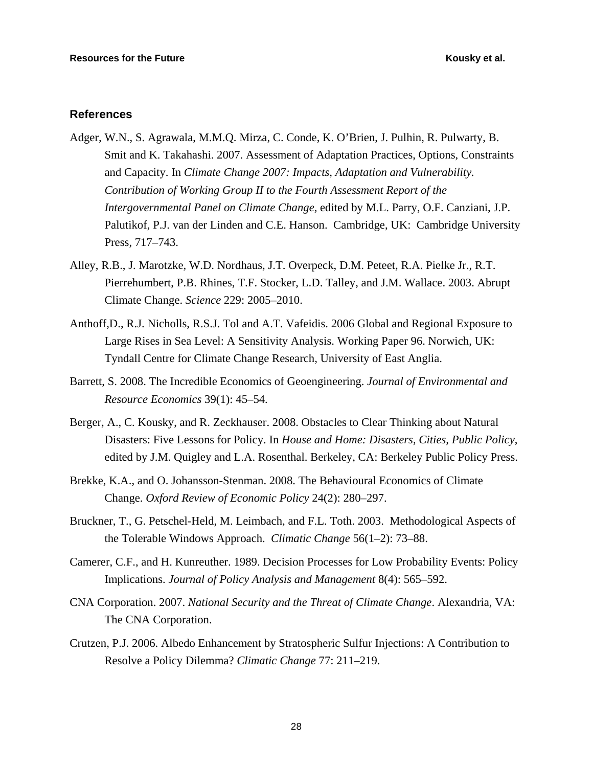### **References**

- Adger*,* W.N., S. Agrawala, M.M.Q. Mirza, C. Conde, K. O'Brien, J. Pulhin, R. Pulwarty, B. Smit and K. Takahashi. 2007. Assessment of Adaptation Practices, Options, Constraints and Capacity. In *Climate Change 2007: Impacts, Adaptation and Vulnerability. Contribution of Working Group II to the Fourth Assessment Report of the Intergovernmental Panel on Climate Change,* edited by M.L. Parry, O.F. Canziani, J.P. Palutikof, P.J. van der Linden and C.E. Hanson. Cambridge, UK: Cambridge University Press, 717–743.
- Alley, R.B., J. Marotzke, W.D. Nordhaus, J.T. Overpeck, D.M. Peteet, R.A. Pielke Jr., R.T. Pierrehumbert, P.B. Rhines, T.F. Stocker, L.D. Talley, and J.M. Wallace. 2003. Abrupt Climate Change. *Science* 229: 2005–2010.
- Anthoff,D., R.J. Nicholls, R.S.J. Tol and A.T. Vafeidis. 2006 Global and Regional Exposure to Large Rises in Sea Level: A Sensitivity Analysis. Working Paper 96. Norwich, UK: Tyndall Centre for Climate Change Research, University of East Anglia.
- Barrett, S. 2008. The Incredible Economics of Geoengineering. *Journal of Environmental and Resource Economics* 39(1): 45–54.
- Berger, A., C. Kousky, and R. Zeckhauser. 2008. Obstacles to Clear Thinking about Natural Disasters: Five Lessons for Policy. In *House and Home: Disasters, Cities, Public Policy*, edited by J.M. Quigley and L.A. Rosenthal. Berkeley, CA: Berkeley Public Policy Press.
- Brekke, K.A., and O. Johansson-Stenman. 2008. The Behavioural Economics of Climate Change. *Oxford Review of Economic Policy* 24(2): 280–297.
- Bruckner, T., G. Petschel-Held, M. Leimbach, and F.L. Toth. 2003. Methodological Aspects of the Tolerable Windows Approach. *Climatic Change* 56(1–2): 73–88.
- Camerer, C.F., and H. Kunreuther. 1989. Decision Processes for Low Probability Events: Policy Implications. *Journal of Policy Analysis and Management* 8(4): 565–592.
- CNA Corporation. 2007. *National Security and the Threat of Climate Change*. Alexandria, VA: The CNA Corporation.
- Crutzen, P.J. 2006. Albedo Enhancement by Stratospheric Sulfur Injections: A Contribution to Resolve a Policy Dilemma? *Climatic Change* 77: 211–219.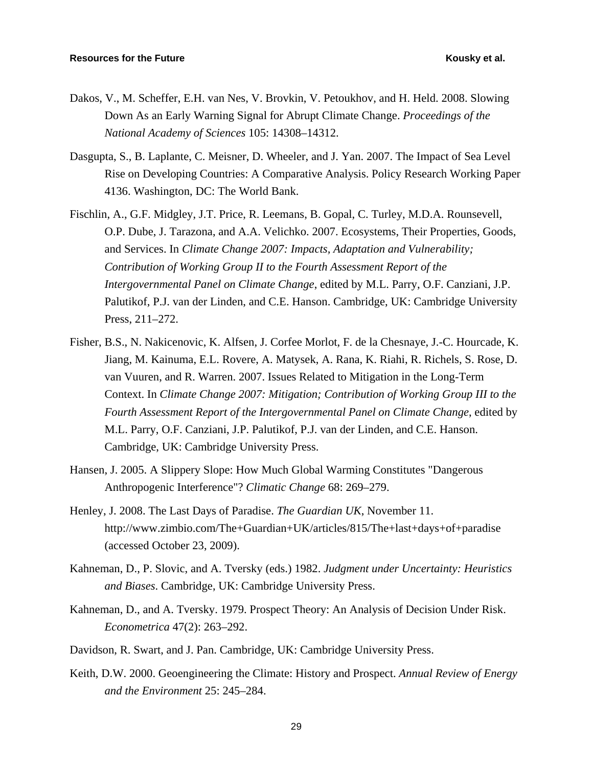- Dakos, V., M. Scheffer, E.H. van Nes, V. Brovkin, V. Petoukhov, and H. Held. 2008. Slowing Down As an Early Warning Signal for Abrupt Climate Change. *Proceedings of the National Academy of Sciences* 105: 14308–14312.
- Dasgupta, S., B. Laplante, C. Meisner, D. Wheeler, and J. Yan. 2007. The Impact of Sea Level Rise on Developing Countries: A Comparative Analysis. Policy Research Working Paper 4136. Washington, DC: The World Bank.
- Fischlin, A., G.F. Midgley, J.T. Price, R. Leemans, B. Gopal, C. Turley, M.D.A. Rounsevell, O.P. Dube, J. Tarazona, and A.A. Velichko. 2007. Ecosystems, Their Properties, Goods, and Services. In *Climate Change 2007: Impacts, Adaptation and Vulnerability; Contribution of Working Group II to the Fourth Assessment Report of the Intergovernmental Panel on Climate Change*, edited by M.L. Parry, O.F. Canziani, J.P. Palutikof, P.J. van der Linden, and C.E. Hanson. Cambridge, UK: Cambridge University Press, 211–272.
- Fisher, B.S., N. Nakicenovic, K. Alfsen, J. Corfee Morlot, F. de la Chesnaye, J.-C. Hourcade, K. Jiang, M. Kainuma, E.L. Rovere, A. Matysek, A. Rana, K. Riahi, R. Richels, S. Rose, D. van Vuuren, and R. Warren. 2007. Issues Related to Mitigation in the Long-Term Context. In *Climate Change 2007: Mitigation; Contribution of Working Group III to the Fourth Assessment Report of the Intergovernmental Panel on Climate Change*, edited by M.L. Parry, O.F. Canziani, J.P. Palutikof, P.J. van der Linden, and C.E. Hanson. Cambridge, UK: Cambridge University Press.
- Hansen, J. 2005. A Slippery Slope: How Much Global Warming Constitutes "Dangerous Anthropogenic Interference"? *Climatic Change* 68: 269–279.
- Henley, J. 2008. The Last Days of Paradise. *The Guardian UK*, November 11. http://www.zimbio.com/The+Guardian+UK/articles/815/The+last+days+of+paradise (accessed October 23, 2009).
- Kahneman, D., P. Slovic, and A. Tversky (eds.) 1982. *Judgment under Uncertainty: Heuristics and Biases*. Cambridge, UK: Cambridge University Press.
- Kahneman, D., and A. Tversky. 1979. Prospect Theory: An Analysis of Decision Under Risk. *Econometrica* 47(2): 263–292.
- Davidson, R. Swart, and J. Pan. Cambridge, UK: Cambridge University Press.
- Keith, D.W. 2000. Geoengineering the Climate: History and Prospect. *Annual Review of Energy and the Environment* 25: 245–284.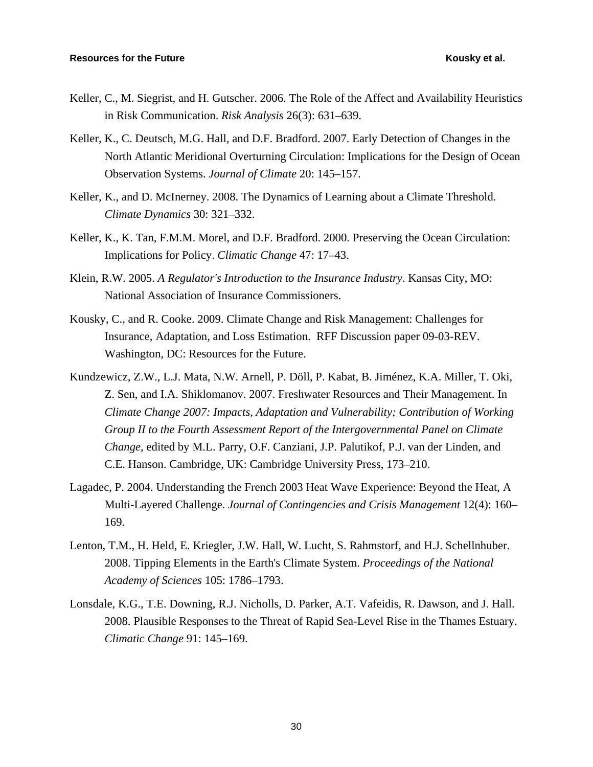- Keller, C., M. Siegrist, and H. Gutscher. 2006. The Role of the Affect and Availability Heuristics in Risk Communication. *Risk Analysis* 26(3): 631–639.
- Keller, K., C. Deutsch, M.G. Hall, and D.F. Bradford. 2007. Early Detection of Changes in the North Atlantic Meridional Overturning Circulation: Implications for the Design of Ocean Observation Systems. *Journal of Climate* 20: 145–157.
- Keller, K., and D. McInerney. 2008. The Dynamics of Learning about a Climate Threshold. *Climate Dynamics* 30: 321–332.
- Keller, K., K. Tan, F.M.M. Morel, and D.F. Bradford. 2000. Preserving the Ocean Circulation: Implications for Policy. *Climatic Change* 47: 17–43.
- Klein, R.W. 2005. *A Regulator's Introduction to the Insurance Industry*. Kansas City, MO: National Association of Insurance Commissioners.
- Kousky, C., and R. Cooke. 2009. Climate Change and Risk Management: Challenges for Insurance, Adaptation, and Loss Estimation. RFF Discussion paper 09-03-REV. Washington, DC: Resources for the Future.
- Kundzewicz, Z.W., L.J. Mata, N.W. Arnell, P. Döll, P. Kabat, B. Jiménez, K.A. Miller, T. Oki, Z. Sen, and I.A. Shiklomanov. 2007. Freshwater Resources and Their Management. In *Climate Change 2007: Impacts, Adaptation and Vulnerability; Contribution of Working Group II to the Fourth Assessment Report of the Intergovernmental Panel on Climate Change*, edited by M.L. Parry, O.F. Canziani, J.P. Palutikof, P.J. van der Linden, and C.E. Hanson. Cambridge, UK: Cambridge University Press, 173–210.
- Lagadec, P. 2004. Understanding the French 2003 Heat Wave Experience: Beyond the Heat, A Multi-Layered Challenge. *Journal of Contingencies and Crisis Management* 12(4): 160– 169.
- Lenton, T.M., H. Held, E. Kriegler, J.W. Hall, W. Lucht, S. Rahmstorf, and H.J. Schellnhuber. 2008. Tipping Elements in the Earth's Climate System. *Proceedings of the National Academy of Sciences* 105: 1786–1793.
- Lonsdale, K.G., T.E. Downing, R.J. Nicholls, D. Parker, A.T. Vafeidis, R. Dawson, and J. Hall. 2008. Plausible Responses to the Threat of Rapid Sea-Level Rise in the Thames Estuary. *Climatic Change* 91: 145–169.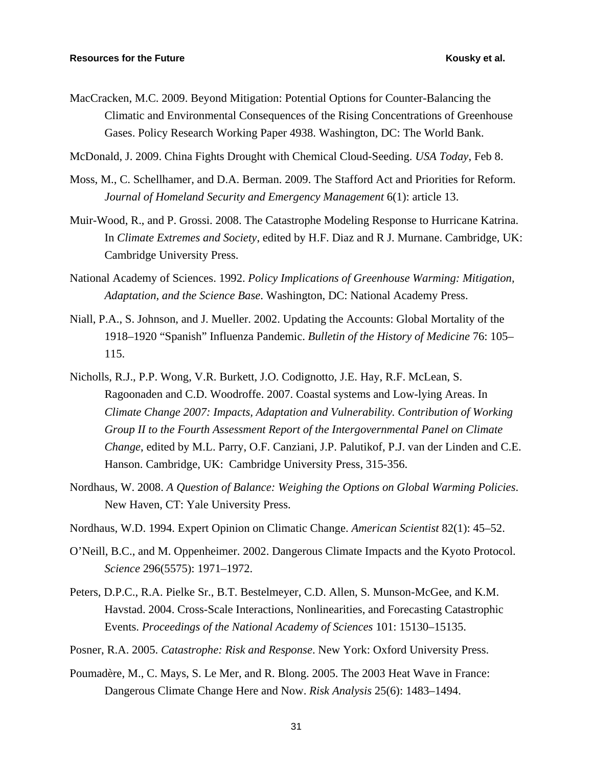- MacCracken, M.C. 2009. Beyond Mitigation: Potential Options for Counter-Balancing the Climatic and Environmental Consequences of the Rising Concentrations of Greenhouse Gases. Policy Research Working Paper 4938. Washington, DC: The World Bank.
- McDonald, J. 2009. China Fights Drought with Chemical Cloud-Seeding. *USA Today*, Feb 8.
- Moss, M., C. Schellhamer, and D.A. Berman. 2009. The Stafford Act and Priorities for Reform. *Journal of Homeland Security and Emergency Management* 6(1): article 13.
- Muir-Wood, R., and P. Grossi. 2008. The Catastrophe Modeling Response to Hurricane Katrina. In *Climate Extremes and Society*, edited by H.F. Diaz and R J. Murnane. Cambridge, UK: Cambridge University Press.
- National Academy of Sciences. 1992. *Policy Implications of Greenhouse Warming: Mitigation, Adaptation, and the Science Base*. Washington, DC: National Academy Press.
- Niall, P.A., S. Johnson, and J. Mueller. 2002. Updating the Accounts: Global Mortality of the 1918–1920 "Spanish" Influenza Pandemic. *Bulletin of the History of Medicine* 76: 105– 115.
- Nicholls, R.J., P.P. Wong, V.R. Burkett, J.O. Codignotto, J.E. Hay, R.F. McLean, S. Ragoonaden and C.D. Woodroffe. 2007. Coastal systems and Low-lying Areas. In *Climate Change 2007: Impacts, Adaptation and Vulnerability. Contribution of Working Group II to the Fourth Assessment Report of the Intergovernmental Panel on Climate Change*, edited by M.L. Parry, O.F. Canziani, J.P. Palutikof, P.J. van der Linden and C.E. Hanson. Cambridge, UK: Cambridge University Press, 315-356.
- Nordhaus, W. 2008. *A Question of Balance: Weighing the Options on Global Warming Policies*. New Haven, CT: Yale University Press.
- Nordhaus, W.D. 1994. Expert Opinion on Climatic Change. *American Scientist* 82(1): 45–52.
- O'Neill, B.C., and M. Oppenheimer. 2002. Dangerous Climate Impacts and the Kyoto Protocol. *Science* 296(5575): 1971–1972.
- Peters, D.P.C., R.A. Pielke Sr., B.T. Bestelmeyer, C.D. Allen, S. Munson-McGee, and K.M. Havstad. 2004. Cross-Scale Interactions, Nonlinearities, and Forecasting Catastrophic Events. *Proceedings of the National Academy of Sciences* 101: 15130–15135.
- Posner, R.A. 2005. *Catastrophe: Risk and Response*. New York: Oxford University Press.
- Poumadère, M., C. Mays, S. Le Mer, and R. Blong. 2005. The 2003 Heat Wave in France: Dangerous Climate Change Here and Now. *Risk Analysis* 25(6): 1483–1494.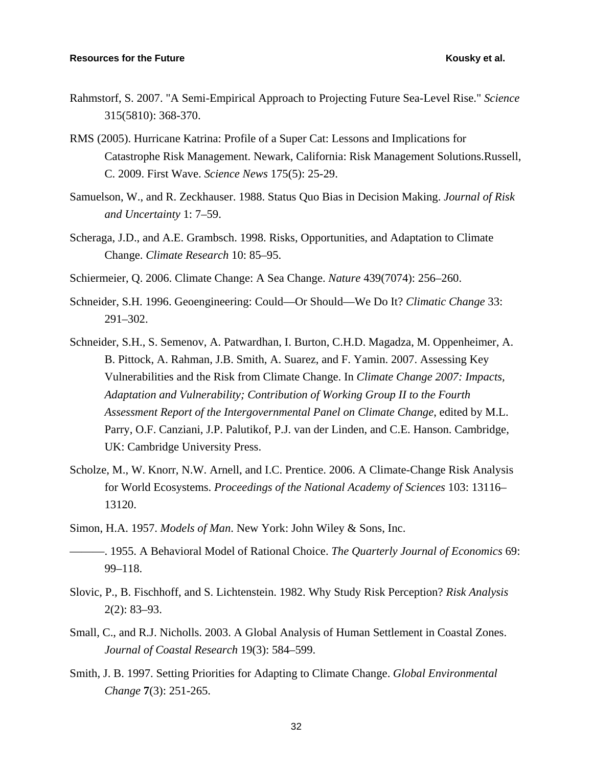- Rahmstorf, S. 2007. "A Semi-Empirical Approach to Projecting Future Sea-Level Rise." *Science* 315(5810): 368-370.
- RMS (2005). Hurricane Katrina: Profile of a Super Cat: Lessons and Implications for Catastrophe Risk Management. Newark, California: Risk Management Solutions.Russell, C. 2009. First Wave. *Science News* 175(5): 25-29.
- Samuelson, W., and R. Zeckhauser. 1988. Status Quo Bias in Decision Making. *Journal of Risk and Uncertainty* 1: 7–59.
- Scheraga, J.D., and A.E. Grambsch. 1998. Risks, Opportunities, and Adaptation to Climate Change. *Climate Research* 10: 85–95.
- Schiermeier, Q. 2006. Climate Change: A Sea Change. *Nature* 439(7074): 256–260.
- Schneider, S.H. 1996. Geoengineering: Could—Or Should—We Do It? *Climatic Change* 33: 291–302.
- Schneider, S.H., S. Semenov, A. Patwardhan, I. Burton, C.H.D. Magadza, M. Oppenheimer, A. B. Pittock, A. Rahman, J.B. Smith, A. Suarez, and F. Yamin. 2007. Assessing Key Vulnerabilities and the Risk from Climate Change. In *Climate Change 2007: Impacts, Adaptation and Vulnerability; Contribution of Working Group II to the Fourth Assessment Report of the Intergovernmental Panel on Climate Change*, edited by M.L. Parry, O.F. Canziani, J.P. Palutikof, P.J. van der Linden, and C.E. Hanson. Cambridge, UK: Cambridge University Press.
- Scholze, M., W. Knorr, N.W. Arnell, and I.C. Prentice. 2006. A Climate-Change Risk Analysis for World Ecosystems. *Proceedings of the National Academy of Sciences* 103: 13116– 13120.
- Simon, H.A. 1957. *Models of Man*. New York: John Wiley & Sons, Inc.
- ———. 1955. A Behavioral Model of Rational Choice. *The Quarterly Journal of Economics* 69: 99–118.
- Slovic, P., B. Fischhoff, and S. Lichtenstein. 1982. Why Study Risk Perception? *Risk Analysis* 2(2): 83–93.
- Small, C., and R.J. Nicholls. 2003. A Global Analysis of Human Settlement in Coastal Zones. *Journal of Coastal Research* 19(3): 584–599.
- Smith, J. B. 1997. Setting Priorities for Adapting to Climate Change. *Global Environmental Change* **7**(3): 251-265.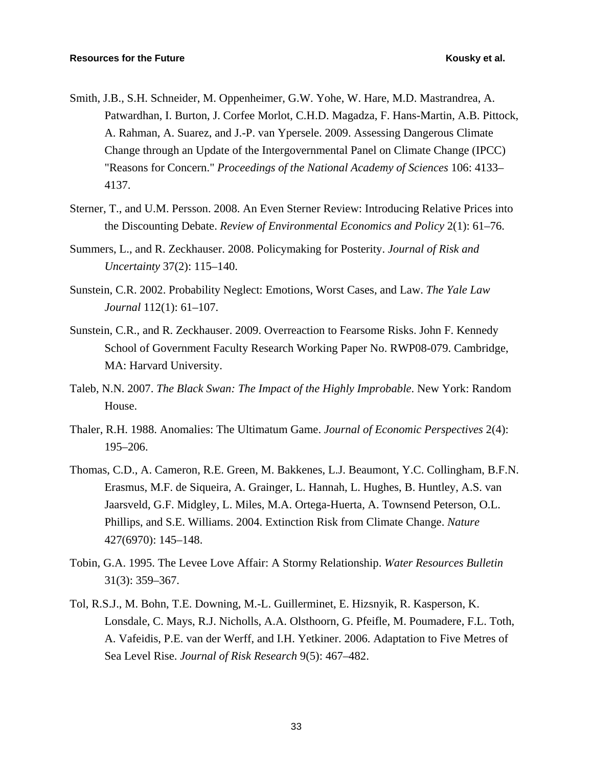- Smith, J.B., S.H. Schneider, M. Oppenheimer, G.W. Yohe, W. Hare, M.D. Mastrandrea, A. Patwardhan, I. Burton, J. Corfee Morlot, C.H.D. Magadza, F. Hans-Martin, A.B. Pittock, A. Rahman, A. Suarez, and J.-P. van Ypersele. 2009. Assessing Dangerous Climate Change through an Update of the Intergovernmental Panel on Climate Change (IPCC) "Reasons for Concern." *Proceedings of the National Academy of Sciences* 106: 4133– 4137.
- Sterner, T., and U.M. Persson. 2008. An Even Sterner Review: Introducing Relative Prices into the Discounting Debate. *Review of Environmental Economics and Policy* 2(1): 61–76.
- Summers, L., and R. Zeckhauser. 2008. Policymaking for Posterity. *Journal of Risk and Uncertainty* 37(2): 115–140.
- Sunstein, C.R. 2002. Probability Neglect: Emotions, Worst Cases, and Law. *The Yale Law Journal* 112(1): 61–107.
- Sunstein, C.R., and R. Zeckhauser. 2009. Overreaction to Fearsome Risks. John F. Kennedy School of Government Faculty Research Working Paper No. RWP08-079. Cambridge, MA: Harvard University.
- Taleb, N.N. 2007. *The Black Swan: The Impact of the Highly Improbable*. New York: Random House.
- Thaler, R.H. 1988. Anomalies: The Ultimatum Game. *Journal of Economic Perspectives* 2(4): 195–206.
- Thomas, C.D., A. Cameron, R.E. Green, M. Bakkenes, L.J. Beaumont, Y.C. Collingham, B.F.N. Erasmus, M.F. de Siqueira, A. Grainger, L. Hannah, L. Hughes, B. Huntley, A.S. van Jaarsveld, G.F. Midgley, L. Miles, M.A. Ortega-Huerta, A. Townsend Peterson, O.L. Phillips, and S.E. Williams. 2004. Extinction Risk from Climate Change. *Nature* 427(6970): 145–148.
- Tobin, G.A. 1995. The Levee Love Affair: A Stormy Relationship. *Water Resources Bulletin* 31(3): 359–367.
- Tol, R.S.J., M. Bohn, T.E. Downing, M.-L. Guillerminet, E. Hizsnyik, R. Kasperson, K. Lonsdale, C. Mays, R.J. Nicholls, A.A. Olsthoorn, G. Pfeifle, M. Poumadere, F.L. Toth, A. Vafeidis, P.E. van der Werff, and I.H. Yetkiner. 2006. Adaptation to Five Metres of Sea Level Rise. *Journal of Risk Research* 9(5): 467–482.